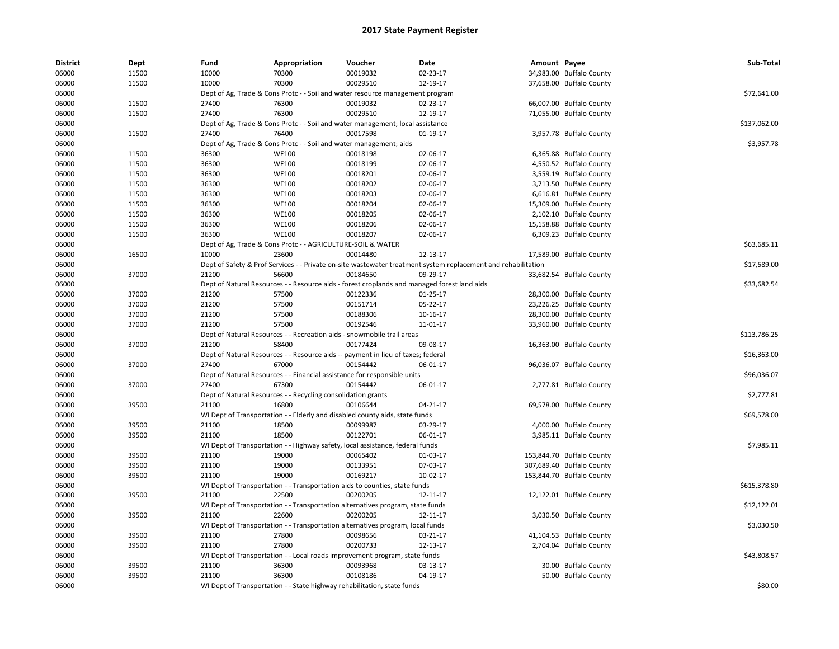| <b>District</b> | Dept  | Fund  | Appropriation                                                      | Voucher                                                                          | Date                                                                                                          | Amount Payee |                           | Sub-Total    |
|-----------------|-------|-------|--------------------------------------------------------------------|----------------------------------------------------------------------------------|---------------------------------------------------------------------------------------------------------------|--------------|---------------------------|--------------|
| 06000           | 11500 | 10000 | 70300                                                              | 00019032                                                                         | 02-23-17                                                                                                      |              | 34,983.00 Buffalo County  |              |
| 06000           | 11500 | 10000 | 70300                                                              | 00029510                                                                         | 12-19-17                                                                                                      |              | 37,658.00 Buffalo County  |              |
| 06000           |       |       |                                                                    | Dept of Ag, Trade & Cons Protc - - Soil and water resource management program    |                                                                                                               |              |                           | \$72,641.00  |
| 06000           | 11500 | 27400 | 76300                                                              | 00019032                                                                         | 02-23-17                                                                                                      |              | 66,007.00 Buffalo County  |              |
| 06000           | 11500 | 27400 | 76300                                                              | 00029510                                                                         | 12-19-17                                                                                                      |              | 71,055.00 Buffalo County  |              |
| 06000           |       |       |                                                                    | Dept of Ag, Trade & Cons Protc - - Soil and water management; local assistance   |                                                                                                               |              |                           | \$137,062.00 |
| 06000           | 11500 | 27400 | 76400                                                              | 00017598                                                                         | 01-19-17                                                                                                      |              | 3,957.78 Buffalo County   |              |
| 06000           |       |       | Dept of Ag, Trade & Cons Protc - - Soil and water management; aids |                                                                                  |                                                                                                               |              |                           | \$3,957.78   |
| 06000           | 11500 | 36300 | <b>WE100</b>                                                       | 00018198                                                                         | 02-06-17                                                                                                      |              | 6,365.88 Buffalo County   |              |
| 06000           | 11500 | 36300 | <b>WE100</b>                                                       | 00018199                                                                         | 02-06-17                                                                                                      |              | 4,550.52 Buffalo County   |              |
| 06000           | 11500 | 36300 | <b>WE100</b>                                                       | 00018201                                                                         | 02-06-17                                                                                                      |              | 3,559.19 Buffalo County   |              |
| 06000           | 11500 | 36300 | <b>WE100</b>                                                       | 00018202                                                                         | 02-06-17                                                                                                      |              | 3,713.50 Buffalo County   |              |
| 06000           | 11500 | 36300 | <b>WE100</b>                                                       | 00018203                                                                         | 02-06-17                                                                                                      |              | 6,616.81 Buffalo County   |              |
| 06000           | 11500 | 36300 | <b>WE100</b>                                                       | 00018204                                                                         | 02-06-17                                                                                                      |              | 15,309.00 Buffalo County  |              |
| 06000           | 11500 | 36300 | <b>WE100</b>                                                       | 00018205                                                                         | 02-06-17                                                                                                      |              | 2,102.10 Buffalo County   |              |
| 06000           | 11500 | 36300 | <b>WE100</b>                                                       | 00018206                                                                         | 02-06-17                                                                                                      |              | 15,158.88 Buffalo County  |              |
| 06000           | 11500 | 36300 | <b>WE100</b>                                                       | 00018207                                                                         | 02-06-17                                                                                                      |              | 6,309.23 Buffalo County   |              |
| 06000           |       |       | Dept of Ag, Trade & Cons Protc - - AGRICULTURE-SOIL & WATER        |                                                                                  |                                                                                                               |              |                           | \$63,685.11  |
| 06000           | 16500 | 10000 | 23600                                                              | 00014480                                                                         | 12-13-17                                                                                                      |              | 17,589.00 Buffalo County  |              |
| 06000           |       |       |                                                                    |                                                                                  | Dept of Safety & Prof Services - - Private on-site wastewater treatment system replacement and rehabilitation |              |                           | \$17,589.00  |
| 06000           | 37000 | 21200 | 56600                                                              | 00184650                                                                         | 09-29-17                                                                                                      |              | 33,682.54 Buffalo County  |              |
| 06000           |       |       |                                                                    |                                                                                  | Dept of Natural Resources - - Resource aids - forest croplands and managed forest land aids                   |              |                           | \$33,682.54  |
| 06000           | 37000 | 21200 | 57500                                                              | 00122336                                                                         | 01-25-17                                                                                                      |              | 28,300.00 Buffalo County  |              |
| 06000           | 37000 | 21200 | 57500                                                              | 00151714                                                                         | 05-22-17                                                                                                      |              | 23,226.25 Buffalo County  |              |
| 06000           | 37000 | 21200 | 57500                                                              | 00188306                                                                         | 10-16-17                                                                                                      |              | 28,300.00 Buffalo County  |              |
| 06000           | 37000 | 21200 | 57500                                                              | 00192546                                                                         | 11-01-17                                                                                                      |              | 33,960.00 Buffalo County  |              |
| 06000           |       |       |                                                                    | Dept of Natural Resources - - Recreation aids - snowmobile trail areas           |                                                                                                               |              |                           | \$113,786.25 |
| 06000           | 37000 | 21200 | 58400                                                              | 00177424                                                                         | 09-08-17                                                                                                      |              | 16,363.00 Buffalo County  |              |
| 06000           |       |       |                                                                    | Dept of Natural Resources - - Resource aids -- payment in lieu of taxes; federal |                                                                                                               |              |                           | \$16,363.00  |
| 06000           | 37000 | 27400 | 67000                                                              | 00154442                                                                         | 06-01-17                                                                                                      |              | 96,036.07 Buffalo County  |              |
| 06000           |       |       |                                                                    | Dept of Natural Resources - - Financial assistance for responsible units         |                                                                                                               |              |                           | \$96,036.07  |
| 06000           | 37000 | 27400 | 67300                                                              | 00154442                                                                         | 06-01-17                                                                                                      |              | 2,777.81 Buffalo County   |              |
| 06000           |       |       | Dept of Natural Resources - - Recycling consolidation grants       |                                                                                  |                                                                                                               |              |                           | \$2,777.81   |
| 06000           | 39500 | 21100 | 16800                                                              | 00106644                                                                         | 04-21-17                                                                                                      |              | 69,578.00 Buffalo County  |              |
| 06000           |       |       |                                                                    | WI Dept of Transportation - - Elderly and disabled county aids, state funds      |                                                                                                               |              |                           | \$69,578.00  |
| 06000           | 39500 | 21100 | 18500                                                              | 00099987                                                                         | 03-29-17                                                                                                      |              | 4,000.00 Buffalo County   |              |
| 06000           | 39500 | 21100 | 18500                                                              | 00122701                                                                         | 06-01-17                                                                                                      |              | 3,985.11 Buffalo County   |              |
| 06000           |       |       |                                                                    | WI Dept of Transportation - - Highway safety, local assistance, federal funds    |                                                                                                               |              |                           | \$7,985.11   |
| 06000           | 39500 | 21100 | 19000                                                              | 00065402                                                                         | 01-03-17                                                                                                      |              | 153,844.70 Buffalo County |              |
| 06000           | 39500 | 21100 | 19000                                                              | 00133951                                                                         | 07-03-17                                                                                                      |              | 307,689.40 Buffalo County |              |
| 06000           | 39500 | 21100 | 19000                                                              | 00169217                                                                         | 10-02-17                                                                                                      |              | 153,844.70 Buffalo County |              |
| 06000           |       |       |                                                                    | WI Dept of Transportation - - Transportation aids to counties, state funds       |                                                                                                               |              |                           | \$615,378.80 |
| 06000           | 39500 | 21100 | 22500                                                              | 00200205                                                                         | 12-11-17                                                                                                      |              | 12,122.01 Buffalo County  |              |
| 06000           |       |       |                                                                    | WI Dept of Transportation - - Transportation alternatives program, state funds   |                                                                                                               |              |                           | \$12,122.01  |
| 06000           | 39500 | 21100 | 22600                                                              | 00200205                                                                         | 12-11-17                                                                                                      |              | 3,030.50 Buffalo County   |              |
| 06000           |       |       |                                                                    | WI Dept of Transportation - - Transportation alternatives program, local funds   |                                                                                                               |              |                           | \$3,030.50   |
| 06000           | 39500 | 21100 | 27800                                                              | 00098656                                                                         | 03-21-17                                                                                                      |              | 41,104.53 Buffalo County  |              |
| 06000           | 39500 | 21100 | 27800                                                              | 00200733                                                                         | 12-13-17                                                                                                      |              | 2,704.04 Buffalo County   |              |
| 06000           |       |       |                                                                    | WI Dept of Transportation - - Local roads improvement program, state funds       |                                                                                                               |              |                           | \$43,808.57  |
| 06000           | 39500 | 21100 | 36300                                                              | 00093968                                                                         | 03-13-17                                                                                                      |              | 30.00 Buffalo County      |              |
| 06000           | 39500 | 21100 | 36300                                                              | 00108186                                                                         | 04-19-17                                                                                                      |              | 50.00 Buffalo County      |              |
| 06000           |       |       |                                                                    | WI Dept of Transportation - - State highway rehabilitation, state funds          |                                                                                                               |              |                           | \$80.00      |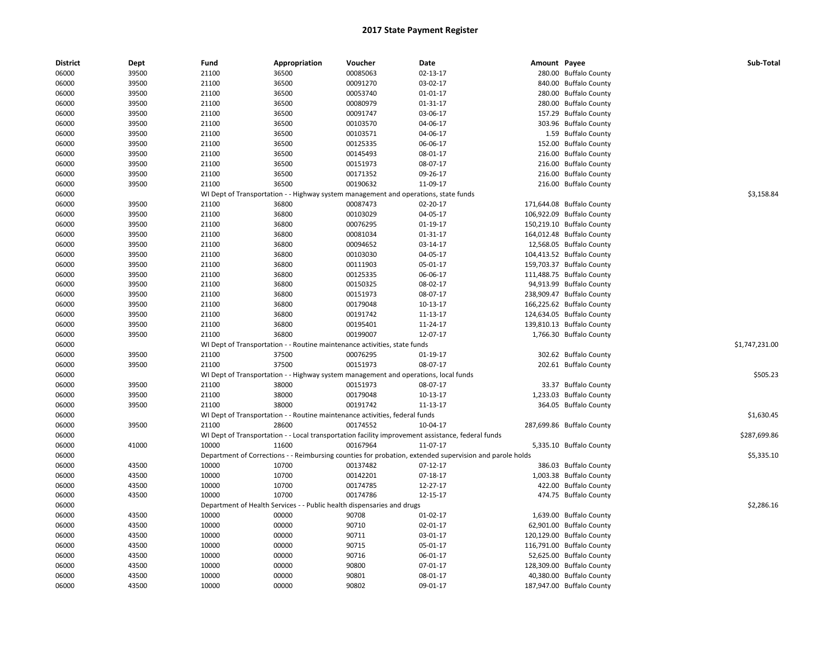| <b>District</b> | Dept  | Fund                            | Appropriation | Voucher                                                                             | Date                                                                                                    | Amount Payee |                           | Sub-Total      |
|-----------------|-------|---------------------------------|---------------|-------------------------------------------------------------------------------------|---------------------------------------------------------------------------------------------------------|--------------|---------------------------|----------------|
| 06000           | 39500 | 21100                           | 36500         | 00085063                                                                            | 02-13-17                                                                                                |              | 280.00 Buffalo County     |                |
| 06000           | 39500 | 21100                           | 36500         | 00091270                                                                            | 03-02-17                                                                                                |              | 840.00 Buffalo County     |                |
| 06000           | 39500 | 21100                           | 36500         | 00053740                                                                            | $01-01-17$                                                                                              |              | 280.00 Buffalo County     |                |
| 06000           | 39500 | 21100                           | 36500         | 00080979                                                                            | 01-31-17                                                                                                |              | 280.00 Buffalo County     |                |
| 06000           | 39500 | 21100                           | 36500         | 00091747                                                                            | 03-06-17                                                                                                |              | 157.29 Buffalo County     |                |
| 06000           | 39500 | 21100                           | 36500         | 00103570                                                                            | 04-06-17                                                                                                |              | 303.96 Buffalo County     |                |
| 06000           | 39500 | 21100                           | 36500         | 00103571                                                                            | 04-06-17                                                                                                |              | 1.59 Buffalo County       |                |
| 06000           | 39500 | 21100                           | 36500         | 00125335                                                                            | 06-06-17                                                                                                |              | 152.00 Buffalo County     |                |
| 06000           | 39500 | 21100                           | 36500         | 00145493                                                                            | 08-01-17                                                                                                |              | 216.00 Buffalo County     |                |
| 06000           | 39500 | 21100                           | 36500         | 00151973                                                                            | 08-07-17                                                                                                |              | 216.00 Buffalo County     |                |
| 06000           | 39500 | 21100                           | 36500         | 00171352                                                                            | 09-26-17                                                                                                |              | 216.00 Buffalo County     |                |
| 06000           | 39500 | 21100                           | 36500         | 00190632                                                                            | 11-09-17                                                                                                |              | 216.00 Buffalo County     |                |
| 06000           |       |                                 |               | WI Dept of Transportation - - Highway system management and operations, state funds |                                                                                                         |              |                           | \$3,158.84     |
| 06000           | 39500 | 21100                           | 36800         | 00087473                                                                            | 02-20-17                                                                                                |              | 171,644.08 Buffalo County |                |
| 06000           | 39500 | 21100                           | 36800         | 00103029                                                                            | 04-05-17                                                                                                |              | 106,922.09 Buffalo County |                |
| 06000           | 39500 | 21100                           | 36800         | 00076295                                                                            | 01-19-17                                                                                                |              | 150,219.10 Buffalo County |                |
| 06000           | 39500 | 21100                           | 36800         | 00081034                                                                            | 01-31-17                                                                                                |              | 164,012.48 Buffalo County |                |
| 06000           | 39500 | 21100                           | 36800         | 00094652                                                                            | 03-14-17                                                                                                |              | 12,568.05 Buffalo County  |                |
| 06000           | 39500 | 21100                           | 36800         | 00103030                                                                            | 04-05-17                                                                                                |              | 104,413.52 Buffalo County |                |
| 06000           | 39500 | 21100                           | 36800         | 00111903                                                                            | 05-01-17                                                                                                |              | 159,703.37 Buffalo County |                |
| 06000           | 39500 | 21100                           | 36800         | 00125335                                                                            | 06-06-17                                                                                                |              | 111,488.75 Buffalo County |                |
| 06000           | 39500 | 21100                           | 36800         | 00150325                                                                            | 08-02-17                                                                                                |              | 94,913.99 Buffalo County  |                |
| 06000           | 39500 | 21100                           | 36800         | 00151973                                                                            | 08-07-17                                                                                                |              | 238,909.47 Buffalo County |                |
| 06000           | 39500 | 21100                           | 36800         | 00179048                                                                            | 10-13-17                                                                                                |              | 166,225.62 Buffalo County |                |
| 06000           | 39500 | 21100                           | 36800         | 00191742                                                                            | 11-13-17                                                                                                |              | 124,634.05 Buffalo County |                |
| 06000           | 39500 | 21100                           | 36800         | 00195401                                                                            | 11-24-17                                                                                                |              | 139,810.13 Buffalo County |                |
| 06000           | 39500 | 21100                           | 36800         | 00199007                                                                            | 12-07-17                                                                                                |              | 1,766.30 Buffalo County   |                |
| 06000           |       |                                 |               | WI Dept of Transportation - - Routine maintenance activities, state funds           |                                                                                                         |              |                           | \$1,747,231.00 |
| 06000           | 39500 | 21100                           | 37500         | 00076295                                                                            | $01-19-17$                                                                                              |              | 302.62 Buffalo County     |                |
| 06000           | 39500 | 21100                           | 37500         | 00151973                                                                            | 08-07-17                                                                                                |              | 202.61 Buffalo County     |                |
| 06000           |       |                                 |               | WI Dept of Transportation - - Highway system management and operations, local funds |                                                                                                         |              |                           | \$505.23       |
| 06000           | 39500 | 21100                           | 38000         | 00151973                                                                            | 08-07-17                                                                                                |              | 33.37 Buffalo County      |                |
| 06000           | 39500 | 21100                           | 38000         | 00179048                                                                            | 10-13-17                                                                                                |              | 1,233.03 Buffalo County   |                |
| 06000           | 39500 | 21100                           | 38000         | 00191742                                                                            | 11-13-17                                                                                                |              | 364.05 Buffalo County     |                |
| 06000           |       |                                 |               | WI Dept of Transportation - - Routine maintenance activities, federal funds         |                                                                                                         |              |                           | \$1,630.45     |
| 06000           | 39500 | 21100                           | 28600         | 00174552                                                                            | 10-04-17                                                                                                |              | 287,699.86 Buffalo County |                |
| 06000           |       |                                 |               |                                                                                     | WI Dept of Transportation - - Local transportation facility improvement assistance, federal funds       |              |                           | \$287,699.86   |
| 06000           | 41000 | 10000                           | 11600         | 00167964                                                                            | 11-07-17                                                                                                |              | 5,335.10 Buffalo County   |                |
| 06000           |       |                                 |               |                                                                                     | Department of Corrections - - Reimbursing counties for probation, extended supervision and parole holds |              |                           | \$5,335.10     |
| 06000           | 43500 | 10000                           | 10700         | 00137482                                                                            | 07-12-17                                                                                                |              | 386.03 Buffalo County     |                |
| 06000           | 43500 | 10000                           | 10700         | 00142201                                                                            | 07-18-17                                                                                                |              | 1,003.38 Buffalo County   |                |
| 06000           | 43500 | 10000                           | 10700         | 00174785                                                                            | 12-27-17                                                                                                |              | 422.00 Buffalo County     |                |
| 06000           | 43500 | 10000                           | 10700         | 00174786                                                                            | 12-15-17                                                                                                |              | 474.75 Buffalo County     |                |
| 06000           |       | Department of Health Services - |               | - Public health dispensaries and drugs                                              |                                                                                                         |              |                           | \$2.286.16     |
| 06000           | 43500 | 10000                           | 00000         | 90708                                                                               | 01-02-17                                                                                                |              | 1,639.00 Buffalo County   |                |
| 06000           | 43500 | 10000                           | 00000         | 90710                                                                               | $02 - 01 - 17$                                                                                          |              | 62,901.00 Buffalo County  |                |
| 06000           | 43500 | 10000                           | 00000         | 90711                                                                               | 03-01-17                                                                                                |              | 120,129.00 Buffalo County |                |
| 06000           | 43500 | 10000                           | 00000         | 90715                                                                               | 05-01-17                                                                                                |              | 116,791.00 Buffalo County |                |
| 06000           | 43500 | 10000                           | 00000         | 90716                                                                               | 06-01-17                                                                                                |              | 52,625.00 Buffalo County  |                |
| 06000           | 43500 | 10000                           | 00000         | 90800                                                                               | 07-01-17                                                                                                |              | 128,309.00 Buffalo County |                |
| 06000           | 43500 | 10000                           | 00000         | 90801                                                                               | 08-01-17                                                                                                |              | 40,380.00 Buffalo County  |                |
| 06000           | 43500 | 10000                           | 00000         | 90802                                                                               | 09-01-17                                                                                                |              | 187,947.00 Buffalo County |                |
|                 |       |                                 |               |                                                                                     |                                                                                                         |              |                           |                |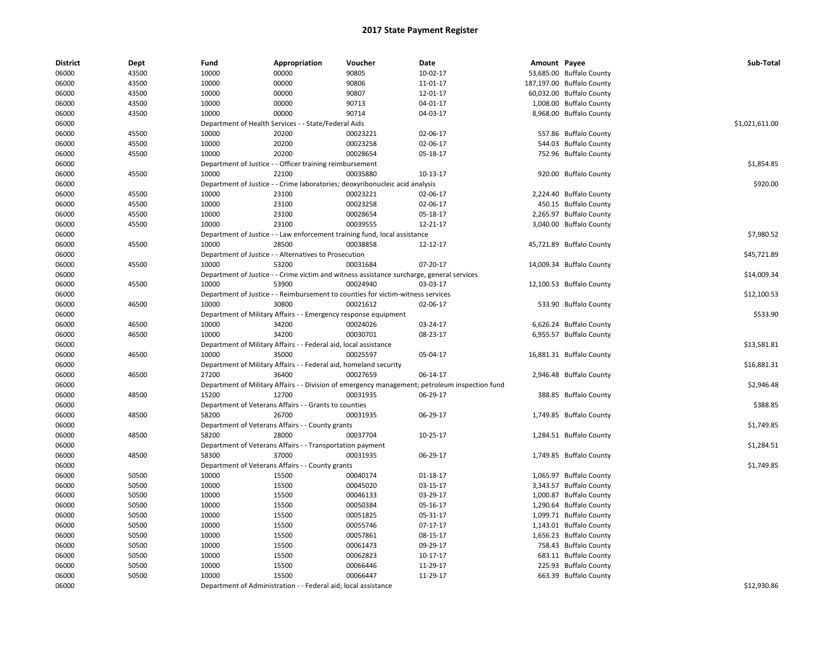| <b>District</b> | Dept  | Fund  | Appropriation                                                                             | Voucher  | Date                                                                                           | Amount Payee |                                                    | Sub-Total      |
|-----------------|-------|-------|-------------------------------------------------------------------------------------------|----------|------------------------------------------------------------------------------------------------|--------------|----------------------------------------------------|----------------|
| 06000           | 43500 | 10000 | 00000                                                                                     | 90805    | 10-02-17                                                                                       |              | 53,685.00 Buffalo County                           |                |
| 06000           | 43500 | 10000 | 00000                                                                                     | 90806    | 11-01-17                                                                                       |              | 187,197.00 Buffalo County                          |                |
| 06000           | 43500 | 10000 | 00000                                                                                     | 90807    | 12-01-17                                                                                       |              | 60,032.00 Buffalo County                           |                |
| 06000           | 43500 | 10000 | 00000                                                                                     | 90713    | 04-01-17                                                                                       |              | 1,008.00 Buffalo County                            |                |
| 06000           | 43500 | 10000 | 00000                                                                                     | 90714    | 04-03-17                                                                                       |              | 8,968.00 Buffalo County                            |                |
| 06000           |       |       | Department of Health Services - - State/Federal Aids                                      |          |                                                                                                |              |                                                    | \$1,021,611.00 |
| 06000           | 45500 | 10000 | 20200                                                                                     | 00023221 | 02-06-17                                                                                       |              | 557.86 Buffalo County                              |                |
| 06000           | 45500 | 10000 | 20200                                                                                     | 00023258 | 02-06-17                                                                                       |              | 544.03 Buffalo County                              |                |
| 06000           | 45500 | 10000 | 20200                                                                                     | 00028654 | 05-18-17                                                                                       |              | 752.96 Buffalo County                              |                |
| 06000           |       |       | Department of Justice - - Officer training reimbursement                                  |          |                                                                                                |              |                                                    | \$1,854.85     |
| 06000           | 45500 | 10000 | 22100                                                                                     | 00035880 | 10-13-17                                                                                       |              | 920.00 Buffalo County                              |                |
| 06000           |       |       | Department of Justice - - Crime laboratories; deoxyribonucleic acid analysis              |          |                                                                                                |              |                                                    | \$920.00       |
| 06000           | 45500 | 10000 | 23100                                                                                     | 00023221 | 02-06-17                                                                                       |              | 2,224.40 Buffalo County                            |                |
| 06000           | 45500 | 10000 | 23100                                                                                     | 00023258 | 02-06-17                                                                                       |              | 450.15 Buffalo County                              |                |
| 06000           | 45500 | 10000 | 23100                                                                                     | 00028654 | 05-18-17                                                                                       |              | 2,265.97 Buffalo County                            |                |
| 06000           | 45500 | 10000 | 23100                                                                                     | 00039555 | 12-21-17                                                                                       |              | 3,040.00 Buffalo County                            |                |
| 06000           |       |       | Department of Justice - - Law enforcement training fund, local assistance                 |          |                                                                                                |              |                                                    | \$7,980.52     |
| 06000           | 45500 | 10000 | 28500                                                                                     | 00038858 | 12-12-17                                                                                       |              | 45,721.89 Buffalo County                           |                |
| 06000           |       |       | Department of Justice - - Alternatives to Prosecution                                     |          |                                                                                                |              |                                                    | \$45,721.89    |
| 06000           | 45500 | 10000 | 53200                                                                                     | 00031684 | 07-20-17                                                                                       |              | 14,009.34 Buffalo County                           |                |
| 06000           |       |       | Department of Justice - - Crime victim and witness assistance surcharge, general services |          |                                                                                                |              |                                                    | \$14,009.34    |
| 06000           | 45500 | 10000 | 53900                                                                                     | 00024940 | 03-03-17                                                                                       |              | 12,100.53 Buffalo County                           |                |
| 06000           |       |       | Department of Justice - - Reimbursement to counties for victim-witness services           |          |                                                                                                |              |                                                    | \$12,100.53    |
| 06000           | 46500 | 10000 | 30800                                                                                     | 00021612 | 02-06-17                                                                                       |              | 533.90 Buffalo County                              |                |
| 06000           |       |       | Department of Military Affairs - - Emergency response equipment                           |          |                                                                                                |              |                                                    | \$533.90       |
| 06000           | 46500 | 10000 | 34200                                                                                     | 00024026 | 03-24-17                                                                                       |              | 6,626.24 Buffalo County                            |                |
| 06000           | 46500 | 10000 | 34200                                                                                     | 00030701 | 08-23-17                                                                                       |              | 6,955.57 Buffalo County                            |                |
| 06000           |       |       | Department of Military Affairs - - Federal aid, local assistance                          |          |                                                                                                |              |                                                    | \$13,581.81    |
| 06000           | 46500 | 10000 | 35000                                                                                     | 00025597 | 05-04-17                                                                                       |              | 16,881.31 Buffalo County                           |                |
| 06000           |       |       | Department of Military Affairs - - Federal aid, homeland security                         |          |                                                                                                |              |                                                    | \$16,881.31    |
| 06000           | 46500 | 27200 | 36400                                                                                     | 00027659 | 06-14-17                                                                                       |              | 2,946.48 Buffalo County                            |                |
| 06000           |       |       |                                                                                           |          | Department of Military Affairs - - Division of emergency management; petroleum inspection fund |              |                                                    | \$2,946.48     |
| 06000           | 48500 | 15200 | 12700                                                                                     | 00031935 | 06-29-17                                                                                       |              | 388.85 Buffalo County                              |                |
| 06000           |       |       | Department of Veterans Affairs - - Grants to counties                                     |          |                                                                                                |              |                                                    | \$388.85       |
| 06000           | 48500 | 58200 | 26700                                                                                     | 00031935 | 06-29-17                                                                                       |              | 1,749.85 Buffalo County                            |                |
| 06000           |       |       | Department of Veterans Affairs - - County grants                                          |          |                                                                                                |              |                                                    | \$1,749.85     |
| 06000           | 48500 | 58200 | 28000                                                                                     | 00037704 | 10-25-17                                                                                       |              | 1,284.51 Buffalo County                            |                |
| 06000           |       |       | Department of Veterans Affairs - - Transportation payment                                 |          |                                                                                                |              |                                                    | \$1,284.51     |
| 06000           | 48500 | 58300 | 37000                                                                                     | 00031935 | 06-29-17                                                                                       |              | 1,749.85 Buffalo County                            |                |
| 06000           |       |       | Department of Veterans Affairs - - County grants                                          |          |                                                                                                |              |                                                    | \$1,749.85     |
| 06000           | 50500 | 10000 | 15500                                                                                     | 00040174 | $01-18-17$                                                                                     |              | 1,065.97 Buffalo County                            |                |
| 06000           | 50500 | 10000 | 15500                                                                                     | 00045020 | 03-15-17                                                                                       |              | 3,343.57 Buffalo County                            |                |
|                 | 50500 | 10000 |                                                                                           | 00046133 | 03-29-17                                                                                       |              |                                                    |                |
| 06000<br>06000  | 50500 | 10000 | 15500<br>15500                                                                            | 00050384 | 05-16-17                                                                                       |              | 1,000.87 Buffalo County<br>1,290.64 Buffalo County |                |
|                 |       |       |                                                                                           |          |                                                                                                |              |                                                    |                |
| 06000           | 50500 | 10000 | 15500                                                                                     | 00051825 | 05-31-17                                                                                       |              | 1,099.71 Buffalo County                            |                |
| 06000           | 50500 | 10000 | 15500                                                                                     | 00055746 | 07-17-17                                                                                       |              | 1,143.01 Buffalo County                            |                |
| 06000           | 50500 | 10000 | 15500                                                                                     | 00057861 | 08-15-17                                                                                       |              | 1,656.23 Buffalo County                            |                |
| 06000           | 50500 | 10000 | 15500                                                                                     | 00061473 | 09-29-17                                                                                       |              | 758.43 Buffalo County                              |                |
| 06000           | 50500 | 10000 | 15500                                                                                     | 00062823 | 10-17-17                                                                                       |              | 683.11 Buffalo County                              |                |
| 06000           | 50500 | 10000 | 15500                                                                                     | 00066446 | 11-29-17                                                                                       |              | 225.93 Buffalo County                              |                |
| 06000           | 50500 | 10000 | 15500                                                                                     | 00066447 | 11-29-17                                                                                       |              | 663.39 Buffalo County                              |                |
| 06000           |       |       | Department of Administration - - Federal aid; local assistance                            |          |                                                                                                |              |                                                    | \$12,930.86    |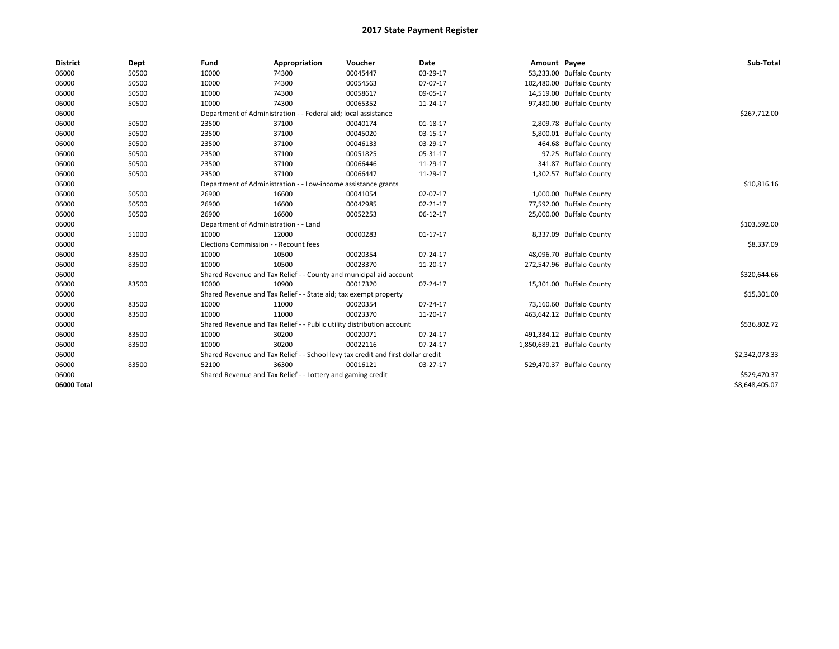| <b>District</b> | Dept  | Fund                                  | Appropriation                                                                    | Voucher  | Date           | Amount Payee |                             | Sub-Total      |
|-----------------|-------|---------------------------------------|----------------------------------------------------------------------------------|----------|----------------|--------------|-----------------------------|----------------|
| 06000           | 50500 | 10000                                 | 74300                                                                            | 00045447 | 03-29-17       |              | 53,233.00 Buffalo County    |                |
| 06000           | 50500 | 10000                                 | 74300                                                                            | 00054563 | 07-07-17       |              | 102,480.00 Buffalo County   |                |
| 06000           | 50500 | 10000                                 | 74300                                                                            | 00058617 | 09-05-17       |              | 14,519.00 Buffalo County    |                |
| 06000           | 50500 | 10000                                 | 74300                                                                            | 00065352 | 11-24-17       |              | 97,480.00 Buffalo County    |                |
| 06000           |       |                                       | Department of Administration - - Federal aid; local assistance                   |          |                |              |                             | \$267,712.00   |
| 06000           | 50500 | 23500                                 | 37100                                                                            | 00040174 | 01-18-17       |              | 2,809.78 Buffalo County     |                |
| 06000           | 50500 | 23500                                 | 37100                                                                            | 00045020 | 03-15-17       |              | 5,800.01 Buffalo County     |                |
| 06000           | 50500 | 23500                                 | 37100                                                                            | 00046133 | 03-29-17       |              | 464.68 Buffalo County       |                |
| 06000           | 50500 | 23500                                 | 37100                                                                            | 00051825 | 05-31-17       |              | 97.25 Buffalo County        |                |
| 06000           | 50500 | 23500                                 | 37100                                                                            | 00066446 | 11-29-17       |              | 341.87 Buffalo County       |                |
| 06000           | 50500 | 23500                                 | 37100                                                                            | 00066447 | 11-29-17       |              | 1,302.57 Buffalo County     |                |
| 06000           |       |                                       | Department of Administration - - Low-income assistance grants                    |          |                |              |                             | \$10,816.16    |
| 06000           | 50500 | 26900                                 | 16600                                                                            | 00041054 | 02-07-17       |              | 1,000.00 Buffalo County     |                |
| 06000           | 50500 | 26900                                 | 16600                                                                            | 00042985 | 02-21-17       |              | 77,592.00 Buffalo County    |                |
| 06000           | 50500 | 26900                                 | 16600                                                                            | 00052253 | 06-12-17       |              | 25,000.00 Buffalo County    |                |
| 06000           |       | Department of Administration - - Land |                                                                                  |          |                |              |                             | \$103,592.00   |
| 06000           | 51000 | 10000                                 | 12000                                                                            | 00000283 | $01 - 17 - 17$ |              | 8,337.09 Buffalo County     |                |
| 06000           |       | Elections Commission - - Recount fees |                                                                                  |          |                |              |                             | \$8,337.09     |
| 06000           | 83500 | 10000                                 | 10500                                                                            | 00020354 | 07-24-17       |              | 48,096.70 Buffalo County    |                |
| 06000           | 83500 | 10000                                 | 10500                                                                            | 00023370 | 11-20-17       |              | 272,547.96 Buffalo County   |                |
| 06000           |       |                                       | Shared Revenue and Tax Relief - - County and municipal aid account               |          |                |              |                             | \$320,644.66   |
| 06000           | 83500 | 10000                                 | 10900                                                                            | 00017320 | 07-24-17       |              | 15,301.00 Buffalo County    |                |
| 06000           |       |                                       | Shared Revenue and Tax Relief - - State aid; tax exempt property                 |          |                |              |                             | \$15,301.00    |
| 06000           | 83500 | 10000                                 | 11000                                                                            | 00020354 | 07-24-17       |              | 73,160.60 Buffalo County    |                |
| 06000           | 83500 | 10000                                 | 11000                                                                            | 00023370 | 11-20-17       |              | 463,642.12 Buffalo County   |                |
| 06000           |       |                                       | Shared Revenue and Tax Relief - - Public utility distribution account            |          |                |              |                             | \$536,802.72   |
| 06000           | 83500 | 10000                                 | 30200                                                                            | 00020071 | 07-24-17       |              | 491,384.12 Buffalo County   |                |
| 06000           | 83500 | 10000                                 | 30200                                                                            | 00022116 | 07-24-17       |              | 1,850,689.21 Buffalo County |                |
| 06000           |       |                                       | Shared Revenue and Tax Relief - - School levy tax credit and first dollar credit |          |                |              |                             | \$2,342,073.33 |
| 06000           | 83500 | 52100                                 | 36300                                                                            | 00016121 | 03-27-17       |              | 529,470.37 Buffalo County   |                |
| 06000           |       |                                       | Shared Revenue and Tax Relief - - Lottery and gaming credit                      |          | \$529,470.37   |              |                             |                |
| 06000 Total     |       |                                       |                                                                                  |          |                |              |                             | \$8,648,405.07 |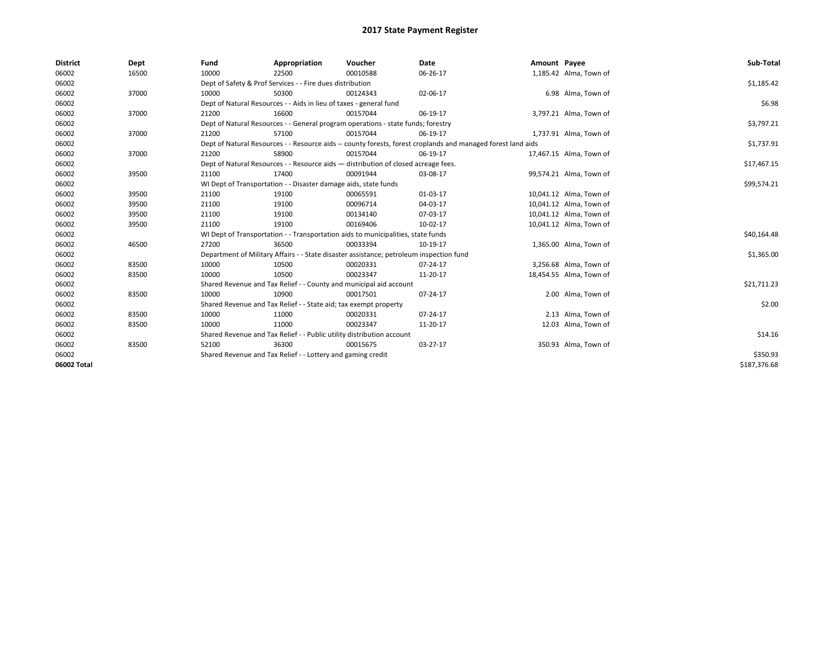| <b>District</b> | Dept  | Fund  | Appropriation                                                                           | Voucher  | Date                                                                                                         | Amount Payee |                         | Sub-Total    |
|-----------------|-------|-------|-----------------------------------------------------------------------------------------|----------|--------------------------------------------------------------------------------------------------------------|--------------|-------------------------|--------------|
| 06002           | 16500 | 10000 | 22500                                                                                   | 00010588 | 06-26-17                                                                                                     |              | 1,185.42 Alma, Town of  |              |
| 06002           |       |       | Dept of Safety & Prof Services - - Fire dues distribution                               |          |                                                                                                              |              |                         | \$1,185.42   |
| 06002           | 37000 | 10000 | 50300                                                                                   | 00124343 | 02-06-17                                                                                                     |              | 6.98 Alma, Town of      |              |
| 06002           |       |       | Dept of Natural Resources - - Aids in lieu of taxes - general fund                      |          |                                                                                                              |              |                         | \$6.98       |
| 06002           | 37000 | 21200 | 16600                                                                                   | 00157044 | 06-19-17                                                                                                     |              | 3,797.21 Alma, Town of  |              |
| 06002           |       |       | Dept of Natural Resources - - General program operations - state funds; forestry        |          |                                                                                                              |              |                         | \$3,797.21   |
| 06002           | 37000 | 21200 | 57100                                                                                   | 00157044 | 06-19-17                                                                                                     |              | 1,737.91 Alma, Town of  |              |
| 06002           |       |       |                                                                                         |          | Dept of Natural Resources - - Resource aids -- county forests, forest croplands and managed forest land aids |              |                         | \$1,737.91   |
| 06002           | 37000 | 21200 | 58900                                                                                   | 00157044 | 06-19-17                                                                                                     |              | 17,467.15 Alma, Town of |              |
| 06002           |       |       | Dept of Natural Resources - - Resource aids - distribution of closed acreage fees.      |          |                                                                                                              |              |                         | \$17,467.15  |
| 06002           | 39500 | 21100 | 17400                                                                                   | 00091944 | 03-08-17                                                                                                     |              | 99,574.21 Alma, Town of |              |
| 06002           |       |       | WI Dept of Transportation - - Disaster damage aids, state funds                         |          |                                                                                                              |              |                         | \$99,574.21  |
| 06002           | 39500 | 21100 | 19100                                                                                   | 00065591 | 01-03-17                                                                                                     |              | 10,041.12 Alma, Town of |              |
| 06002           | 39500 | 21100 | 19100                                                                                   | 00096714 | 04-03-17                                                                                                     |              | 10,041.12 Alma, Town of |              |
| 06002           | 39500 | 21100 | 19100                                                                                   | 00134140 | 07-03-17                                                                                                     |              | 10,041.12 Alma, Town of |              |
| 06002           | 39500 | 21100 | 19100                                                                                   | 00169406 | 10-02-17                                                                                                     |              | 10,041.12 Alma, Town of |              |
| 06002           |       |       | WI Dept of Transportation - - Transportation aids to municipalities, state funds        |          |                                                                                                              |              |                         | \$40,164.48  |
| 06002           | 46500 | 27200 | 36500                                                                                   | 00033394 | 10-19-17                                                                                                     |              | 1,365.00 Alma, Town of  |              |
| 06002           |       |       | Department of Military Affairs - - State disaster assistance; petroleum inspection fund |          |                                                                                                              |              |                         | \$1,365.00   |
| 06002           | 83500 | 10000 | 10500                                                                                   | 00020331 | 07-24-17                                                                                                     |              | 3,256.68 Alma, Town of  |              |
| 06002           | 83500 | 10000 | 10500                                                                                   | 00023347 | 11-20-17                                                                                                     |              | 18,454.55 Alma, Town of |              |
| 06002           |       |       | Shared Revenue and Tax Relief - - County and municipal aid account                      |          |                                                                                                              |              |                         | \$21,711.23  |
| 06002           | 83500 | 10000 | 10900                                                                                   | 00017501 | 07-24-17                                                                                                     |              | 2.00 Alma, Town of      |              |
| 06002           |       |       | Shared Revenue and Tax Relief - - State aid; tax exempt property                        |          |                                                                                                              |              |                         | \$2.00       |
| 06002           | 83500 | 10000 | 11000                                                                                   | 00020331 | 07-24-17                                                                                                     |              | 2.13 Alma, Town of      |              |
| 06002           | 83500 | 10000 | 11000                                                                                   | 00023347 | 11-20-17                                                                                                     |              | 12.03 Alma, Town of     |              |
| 06002           |       |       | Shared Revenue and Tax Relief - - Public utility distribution account                   |          |                                                                                                              |              |                         | \$14.16      |
| 06002           | 83500 | 52100 | 36300                                                                                   | 00015675 | 03-27-17                                                                                                     |              | 350.93 Alma, Town of    |              |
| 06002           |       |       | Shared Revenue and Tax Relief - - Lottery and gaming credit                             |          | \$350.93                                                                                                     |              |                         |              |
| 06002 Total     |       |       |                                                                                         |          |                                                                                                              |              |                         | \$187,376.68 |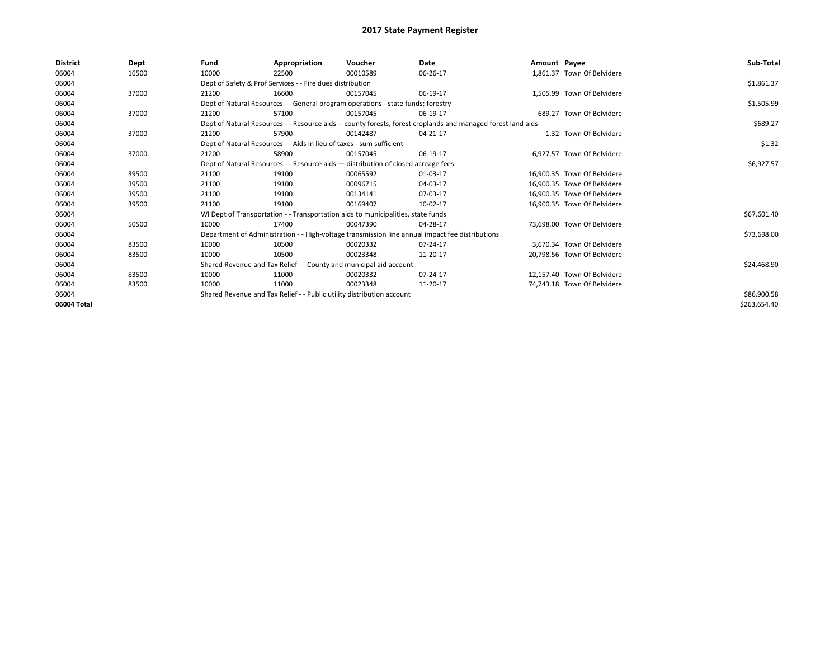| <b>District</b> | Dept  | Fund  | Appropriation                                                                                                | Voucher  | Date     | Amount Payee |                             | Sub-Total    |  |  |
|-----------------|-------|-------|--------------------------------------------------------------------------------------------------------------|----------|----------|--------------|-----------------------------|--------------|--|--|
| 06004           | 16500 | 10000 | 22500                                                                                                        | 00010589 | 06-26-17 |              | 1.861.37 Town Of Belvidere  |              |  |  |
| 06004           |       |       | Dept of Safety & Prof Services - - Fire dues distribution                                                    |          |          |              |                             | \$1,861.37   |  |  |
| 06004           | 37000 | 21200 | 16600                                                                                                        | 00157045 | 06-19-17 |              | 1,505.99 Town Of Belvidere  |              |  |  |
| 06004           |       |       | Dept of Natural Resources - - General program operations - state funds; forestry                             |          |          |              |                             | \$1,505.99   |  |  |
| 06004           | 37000 | 21200 | 57100                                                                                                        | 00157045 | 06-19-17 |              | 689.27 Town Of Belvidere    |              |  |  |
| 06004           |       |       | Dept of Natural Resources - - Resource aids -- county forests, forest croplands and managed forest land aids |          |          |              |                             | \$689.27     |  |  |
| 06004           | 37000 | 21200 | 57900                                                                                                        | 00142487 | 04-21-17 |              | 1.32 Town Of Belvidere      |              |  |  |
| 06004           |       |       | Dept of Natural Resources - - Aids in lieu of taxes - sum sufficient                                         |          |          |              |                             | \$1.32       |  |  |
| 06004           | 37000 | 21200 | 58900                                                                                                        | 00157045 | 06-19-17 |              | 6.927.57 Town Of Belvidere  |              |  |  |
| 06004           |       |       | Dept of Natural Resources - - Resource aids - distribution of closed acreage fees.                           |          |          |              |                             | \$6,927.57   |  |  |
| 06004           | 39500 | 21100 | 19100                                                                                                        | 00065592 | 01-03-17 |              | 16,900.35 Town Of Belvidere |              |  |  |
| 06004           | 39500 | 21100 | 19100                                                                                                        | 00096715 | 04-03-17 |              | 16.900.35 Town Of Belvidere |              |  |  |
| 06004           | 39500 | 21100 | 19100                                                                                                        | 00134141 | 07-03-17 |              | 16.900.35 Town Of Belvidere |              |  |  |
| 06004           | 39500 | 21100 | 19100                                                                                                        | 00169407 | 10-02-17 |              | 16,900.35 Town Of Belvidere |              |  |  |
| 06004           |       |       | WI Dept of Transportation - - Transportation aids to municipalities, state funds                             |          |          |              |                             | \$67,601.40  |  |  |
| 06004           | 50500 | 10000 | 17400                                                                                                        | 00047390 | 04-28-17 |              | 73,698.00 Town Of Belvidere |              |  |  |
| 06004           |       |       | Department of Administration - - High-voltage transmission line annual impact fee distributions              |          |          |              |                             | \$73,698.00  |  |  |
| 06004           | 83500 | 10000 | 10500                                                                                                        | 00020332 | 07-24-17 |              | 3.670.34 Town Of Belvidere  |              |  |  |
| 06004           | 83500 | 10000 | 10500                                                                                                        | 00023348 | 11-20-17 |              | 20,798.56 Town Of Belvidere |              |  |  |
| 06004           |       |       | Shared Revenue and Tax Relief - - County and municipal aid account                                           |          |          |              |                             | \$24,468.90  |  |  |
| 06004           | 83500 | 10000 | 11000                                                                                                        | 00020332 | 07-24-17 |              | 12.157.40 Town Of Belvidere |              |  |  |
| 06004           | 83500 | 10000 | 11000                                                                                                        | 00023348 | 11-20-17 |              | 74,743.18 Town Of Belvidere |              |  |  |
| 06004           |       |       | Shared Revenue and Tax Relief - - Public utility distribution account                                        |          |          |              |                             |              |  |  |
| 06004 Total     |       |       |                                                                                                              |          |          |              |                             | \$263,654.40 |  |  |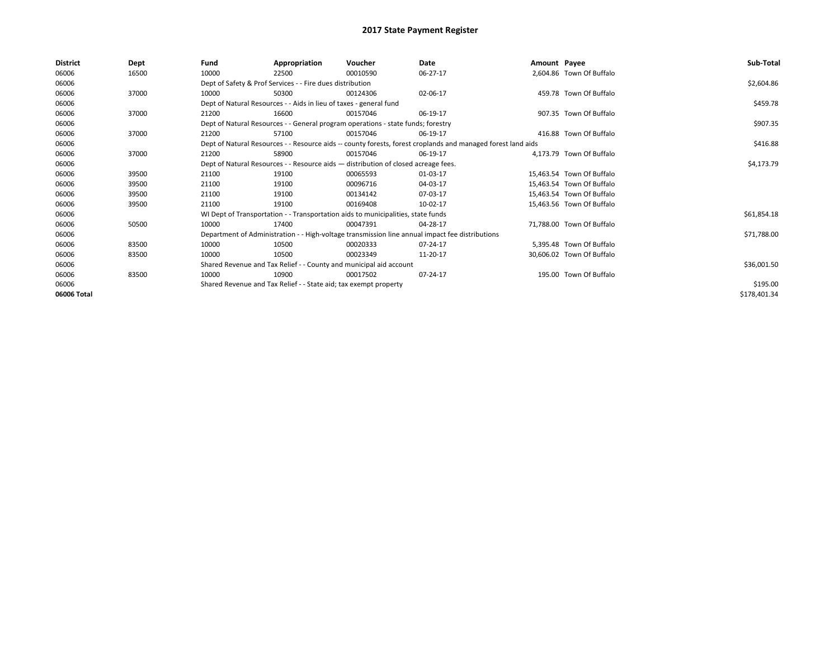| <b>District</b> | <b>Dept</b> | Fund  | Appropriation                                                                      | Voucher  | Date                                                                                                         | Amount Payee |                           | Sub-Total    |
|-----------------|-------------|-------|------------------------------------------------------------------------------------|----------|--------------------------------------------------------------------------------------------------------------|--------------|---------------------------|--------------|
| 06006           | 16500       | 10000 | 22500                                                                              | 00010590 | 06-27-17                                                                                                     |              | 2,604.86 Town Of Buffalo  |              |
| 06006           |             |       | Dept of Safety & Prof Services - - Fire dues distribution                          |          |                                                                                                              |              |                           | \$2,604.86   |
| 06006           | 37000       | 10000 | 50300                                                                              | 00124306 | 02-06-17                                                                                                     |              | 459.78 Town Of Buffalo    |              |
| 06006           |             |       | Dept of Natural Resources - - Aids in lieu of taxes - general fund                 |          |                                                                                                              |              |                           | \$459.78     |
| 06006           | 37000       | 21200 | 16600                                                                              | 00157046 | 06-19-17                                                                                                     |              | 907.35 Town Of Buffalo    |              |
| 06006           |             |       | Dept of Natural Resources - - General program operations - state funds; forestry   |          |                                                                                                              |              |                           | \$907.35     |
| 06006           | 37000       | 21200 | 57100                                                                              | 00157046 | 06-19-17                                                                                                     |              | 416.88 Town Of Buffalo    |              |
| 06006           |             |       |                                                                                    |          | Dept of Natural Resources - - Resource aids -- county forests, forest croplands and managed forest land aids |              |                           | \$416.88     |
| 06006           | 37000       | 21200 | 58900                                                                              | 00157046 | 06-19-17                                                                                                     |              | 4.173.79 Town Of Buffalo  |              |
| 06006           |             |       | Dept of Natural Resources - - Resource aids - distribution of closed acreage fees. |          |                                                                                                              |              |                           | \$4,173.79   |
| 06006           | 39500       | 21100 | 19100                                                                              | 00065593 | 01-03-17                                                                                                     |              | 15,463.54 Town Of Buffalo |              |
| 06006           | 39500       | 21100 | 19100                                                                              | 00096716 | 04-03-17                                                                                                     |              | 15,463.54 Town Of Buffalo |              |
| 06006           | 39500       | 21100 | 19100                                                                              | 00134142 | 07-03-17                                                                                                     |              | 15,463.54 Town Of Buffalo |              |
| 06006           | 39500       | 21100 | 19100                                                                              | 00169408 | 10-02-17                                                                                                     |              | 15,463.56 Town Of Buffalo |              |
| 06006           |             |       | WI Dept of Transportation - - Transportation aids to municipalities, state funds   |          |                                                                                                              |              |                           | \$61,854.18  |
| 06006           | 50500       | 10000 | 17400                                                                              | 00047391 | 04-28-17                                                                                                     |              | 71,788.00 Town Of Buffalo |              |
| 06006           |             |       |                                                                                    |          | Department of Administration - - High-voltage transmission line annual impact fee distributions              |              |                           | \$71,788.00  |
| 06006           | 83500       | 10000 | 10500                                                                              | 00020333 | 07-24-17                                                                                                     |              | 5,395.48 Town Of Buffalo  |              |
| 06006           | 83500       | 10000 | 10500                                                                              | 00023349 | 11-20-17                                                                                                     |              | 30,606.02 Town Of Buffalo |              |
| 06006           |             |       | Shared Revenue and Tax Relief - - County and municipal aid account                 |          |                                                                                                              |              |                           | \$36,001.50  |
| 06006           | 83500       | 10000 | 10900                                                                              | 00017502 | 07-24-17                                                                                                     |              | 195.00 Town Of Buffalo    |              |
| 06006           |             |       | Shared Revenue and Tax Relief - - State aid; tax exempt property                   |          |                                                                                                              |              |                           | \$195.00     |
| 06006 Total     |             |       |                                                                                    |          |                                                                                                              |              |                           | \$178,401.34 |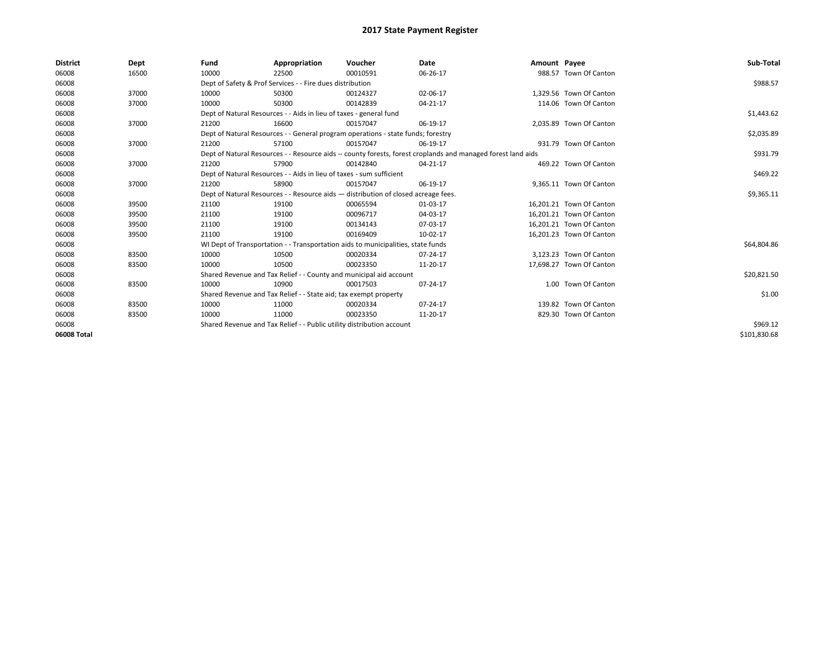| <b>District</b> | Dept  | Fund                                                                  | Appropriation                                                                      | Voucher  | Date                                                                                                         | Amount Payee |                          | Sub-Total    |
|-----------------|-------|-----------------------------------------------------------------------|------------------------------------------------------------------------------------|----------|--------------------------------------------------------------------------------------------------------------|--------------|--------------------------|--------------|
| 06008           | 16500 | 10000                                                                 | 22500                                                                              | 00010591 | 06-26-17                                                                                                     |              | 988.57 Town Of Canton    |              |
| 06008           |       |                                                                       | Dept of Safety & Prof Services - - Fire dues distribution                          |          |                                                                                                              |              |                          | \$988.57     |
| 06008           | 37000 | 10000                                                                 | 50300                                                                              | 00124327 | 02-06-17                                                                                                     |              | 1.329.56 Town Of Canton  |              |
| 06008           | 37000 | 10000                                                                 | 50300                                                                              | 00142839 | 04-21-17                                                                                                     |              | 114.06 Town Of Canton    |              |
| 06008           |       |                                                                       | Dept of Natural Resources - - Aids in lieu of taxes - general fund                 |          |                                                                                                              |              |                          | \$1,443.62   |
| 06008           | 37000 | 21200                                                                 | 16600                                                                              | 00157047 | 06-19-17                                                                                                     |              | 2,035.89 Town Of Canton  |              |
| 06008           |       |                                                                       | Dept of Natural Resources - - General program operations - state funds; forestry   |          | \$2,035.89                                                                                                   |              |                          |              |
| 06008           | 37000 | 21200                                                                 | 57100                                                                              | 00157047 | 06-19-17                                                                                                     |              | 931.79 Town Of Canton    |              |
| 06008           |       |                                                                       |                                                                                    |          | Dept of Natural Resources - - Resource aids -- county forests, forest croplands and managed forest land aids |              |                          | \$931.79     |
| 06008           | 37000 | 21200                                                                 | 57900                                                                              | 00142840 | 04-21-17                                                                                                     |              | 469.22 Town Of Canton    |              |
| 06008           |       |                                                                       | Dept of Natural Resources - - Aids in lieu of taxes - sum sufficient               |          |                                                                                                              |              |                          | \$469.22     |
| 06008           | 37000 | 21200                                                                 | 58900                                                                              | 00157047 | 06-19-17                                                                                                     |              | 9,365.11 Town Of Canton  |              |
| 06008           |       |                                                                       | Dept of Natural Resources - - Resource aids - distribution of closed acreage fees. |          |                                                                                                              |              |                          | \$9,365.11   |
| 06008           | 39500 | 21100                                                                 | 19100                                                                              | 00065594 | 01-03-17                                                                                                     |              | 16,201.21 Town Of Canton |              |
| 06008           | 39500 | 21100                                                                 | 19100                                                                              | 00096717 | 04-03-17                                                                                                     |              | 16,201.21 Town Of Canton |              |
| 06008           | 39500 | 21100                                                                 | 19100                                                                              | 00134143 | 07-03-17                                                                                                     |              | 16,201.21 Town Of Canton |              |
| 06008           | 39500 | 21100                                                                 | 19100                                                                              | 00169409 | 10-02-17                                                                                                     |              | 16,201.23 Town Of Canton |              |
| 06008           |       |                                                                       | WI Dept of Transportation - - Transportation aids to municipalities, state funds   |          |                                                                                                              |              |                          | \$64,804.86  |
| 06008           | 83500 | 10000                                                                 | 10500                                                                              | 00020334 | 07-24-17                                                                                                     |              | 3,123.23 Town Of Canton  |              |
| 06008           | 83500 | 10000                                                                 | 10500                                                                              | 00023350 | 11-20-17                                                                                                     |              | 17,698.27 Town Of Canton |              |
| 06008           |       |                                                                       | Shared Revenue and Tax Relief - - County and municipal aid account                 |          |                                                                                                              |              |                          | \$20,821.50  |
| 06008           | 83500 | 10000                                                                 | 10900                                                                              | 00017503 | 07-24-17                                                                                                     |              | 1.00 Town Of Canton      |              |
| 06008           |       |                                                                       | Shared Revenue and Tax Relief - - State aid; tax exempt property                   |          |                                                                                                              |              |                          | \$1.00       |
| 06008           | 83500 | 10000                                                                 | 11000                                                                              | 00020334 | 07-24-17                                                                                                     |              | 139.82 Town Of Canton    |              |
| 06008           | 83500 | 10000                                                                 | 11000                                                                              | 00023350 | 11-20-17                                                                                                     |              | 829.30 Town Of Canton    |              |
| 06008           |       | Shared Revenue and Tax Relief - - Public utility distribution account |                                                                                    | \$969.12 |                                                                                                              |              |                          |              |
| 06008 Total     |       |                                                                       |                                                                                    |          |                                                                                                              |              |                          | \$101,830.68 |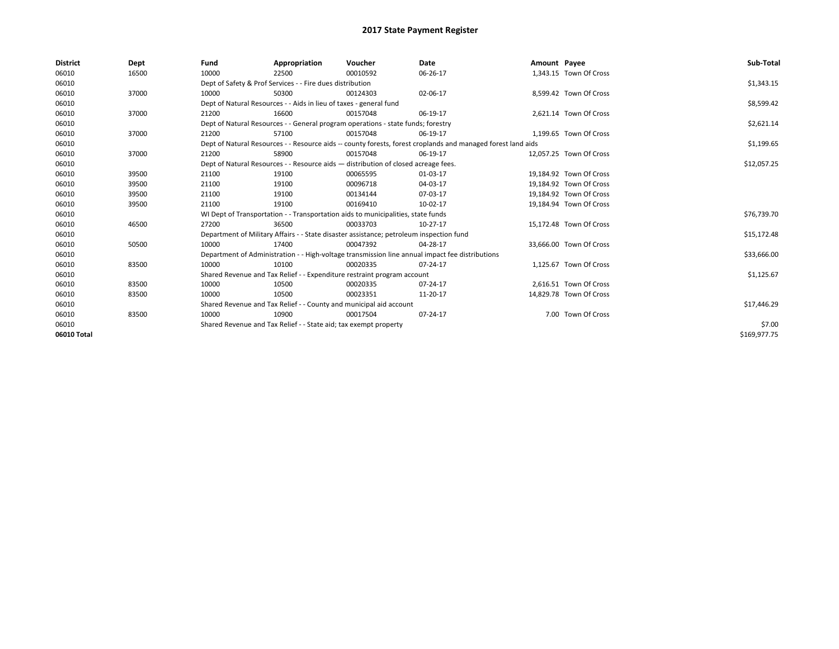| <b>District</b> | Dept  | Fund                                                               | Appropriation                                                                                                | Voucher     | Date                                                                                            | Amount Payee |                         | Sub-Total    |  |  |  |
|-----------------|-------|--------------------------------------------------------------------|--------------------------------------------------------------------------------------------------------------|-------------|-------------------------------------------------------------------------------------------------|--------------|-------------------------|--------------|--|--|--|
| 06010           | 16500 | 10000                                                              | 22500                                                                                                        | 00010592    | 06-26-17                                                                                        |              | 1,343.15 Town Of Cross  |              |  |  |  |
| 06010           |       |                                                                    | Dept of Safety & Prof Services - - Fire dues distribution                                                    |             |                                                                                                 |              |                         | \$1,343.15   |  |  |  |
| 06010           | 37000 | 10000                                                              | 50300                                                                                                        | 00124303    | 02-06-17                                                                                        |              | 8,599.42 Town Of Cross  |              |  |  |  |
| 06010           |       |                                                                    | Dept of Natural Resources - - Aids in lieu of taxes - general fund                                           |             |                                                                                                 |              |                         | \$8,599.42   |  |  |  |
| 06010           | 37000 | 21200                                                              | 16600                                                                                                        | 00157048    | 06-19-17                                                                                        |              | 2,621.14 Town Of Cross  |              |  |  |  |
| 06010           |       |                                                                    | Dept of Natural Resources - - General program operations - state funds; forestry                             |             |                                                                                                 |              |                         |              |  |  |  |
| 06010           | 37000 | 21200                                                              | 57100                                                                                                        | 00157048    | 06-19-17                                                                                        |              | 1,199.65 Town Of Cross  |              |  |  |  |
| 06010           |       |                                                                    | Dept of Natural Resources - - Resource aids -- county forests, forest croplands and managed forest land aids |             | \$1,199.65                                                                                      |              |                         |              |  |  |  |
| 06010           | 37000 | 21200                                                              | 58900                                                                                                        | 00157048    | 06-19-17                                                                                        |              | 12,057.25 Town Of Cross |              |  |  |  |
| 06010           |       |                                                                    | Dept of Natural Resources - - Resource aids - distribution of closed acreage fees.                           |             |                                                                                                 |              |                         | \$12,057.25  |  |  |  |
| 06010           | 39500 | 21100                                                              | 19100                                                                                                        | 00065595    | 01-03-17                                                                                        |              | 19,184.92 Town Of Cross |              |  |  |  |
| 06010           | 39500 | 21100                                                              | 19100                                                                                                        | 00096718    | 04-03-17                                                                                        |              | 19,184.92 Town Of Cross |              |  |  |  |
| 06010           | 39500 | 21100                                                              | 19100                                                                                                        | 00134144    | 07-03-17                                                                                        |              | 19,184.92 Town Of Cross |              |  |  |  |
| 06010           | 39500 | 21100                                                              | 19100                                                                                                        | 00169410    | 10-02-17                                                                                        |              | 19,184.94 Town Of Cross |              |  |  |  |
| 06010           |       |                                                                    | WI Dept of Transportation - - Transportation aids to municipalities, state funds                             |             |                                                                                                 |              |                         | \$76,739.70  |  |  |  |
| 06010           | 46500 | 27200                                                              | 36500                                                                                                        | 00033703    | 10-27-17                                                                                        |              | 15,172.48 Town Of Cross |              |  |  |  |
| 06010           |       |                                                                    | Department of Military Affairs - - State disaster assistance; petroleum inspection fund                      |             |                                                                                                 |              |                         | \$15,172.48  |  |  |  |
| 06010           | 50500 | 10000                                                              | 17400                                                                                                        | 00047392    | 04-28-17                                                                                        |              | 33.666.00 Town Of Cross |              |  |  |  |
| 06010           |       |                                                                    |                                                                                                              |             | Department of Administration - - High-voltage transmission line annual impact fee distributions |              |                         | \$33,666.00  |  |  |  |
| 06010           | 83500 | 10000                                                              | 10100                                                                                                        | 00020335    | 07-24-17                                                                                        |              | 1.125.67 Town Of Cross  |              |  |  |  |
| 06010           |       |                                                                    | Shared Revenue and Tax Relief - - Expenditure restraint program account                                      |             |                                                                                                 |              |                         | \$1,125.67   |  |  |  |
| 06010           | 83500 | 10000                                                              | 10500                                                                                                        | 00020335    | 07-24-17                                                                                        |              | 2,616.51 Town Of Cross  |              |  |  |  |
| 06010           | 83500 | 10000                                                              | 10500                                                                                                        | 00023351    | 11-20-17                                                                                        |              | 14,829.78 Town Of Cross |              |  |  |  |
| 06010           |       | Shared Revenue and Tax Relief - - County and municipal aid account |                                                                                                              | \$17,446.29 |                                                                                                 |              |                         |              |  |  |  |
| 06010           | 83500 | 10000                                                              | 10900                                                                                                        | 00017504    | 07-24-17                                                                                        |              | 7.00 Town Of Cross      |              |  |  |  |
| 06010           |       | Shared Revenue and Tax Relief - - State aid; tax exempt property   |                                                                                                              | \$7.00      |                                                                                                 |              |                         |              |  |  |  |
| 06010 Total     |       |                                                                    |                                                                                                              |             |                                                                                                 |              |                         | \$169,977.75 |  |  |  |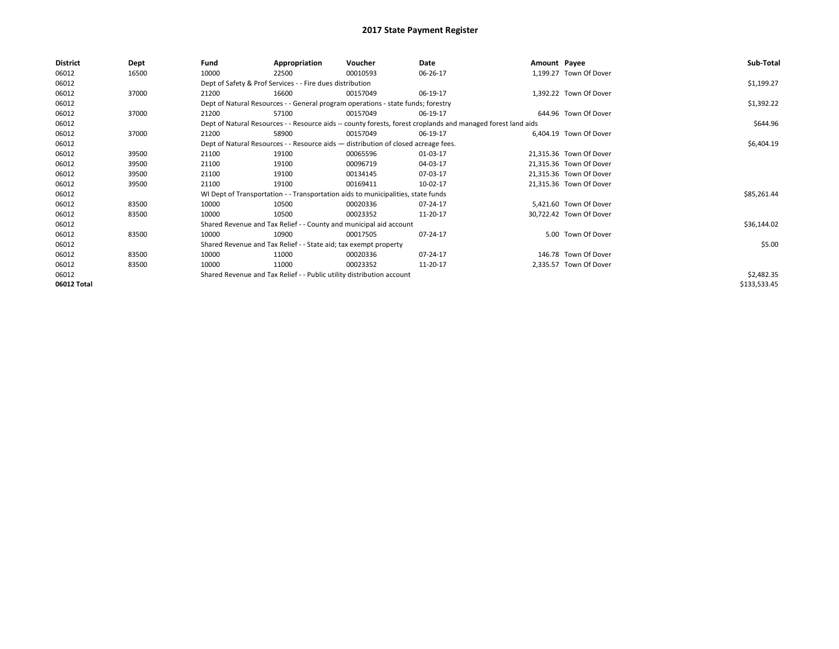| <b>District</b> | Dept  | Fund                                                                                                         | Appropriation                                                                      | Voucher  | Date     | Amount Payee |                         | Sub-Total    |
|-----------------|-------|--------------------------------------------------------------------------------------------------------------|------------------------------------------------------------------------------------|----------|----------|--------------|-------------------------|--------------|
| 06012           | 16500 | 10000                                                                                                        | 22500                                                                              | 00010593 | 06-26-17 |              | 1,199.27 Town Of Dover  |              |
| 06012           |       |                                                                                                              | Dept of Safety & Prof Services - - Fire dues distribution                          |          |          |              |                         | \$1,199.27   |
| 06012           | 37000 | 21200                                                                                                        | 16600                                                                              | 00157049 | 06-19-17 |              | 1,392.22 Town Of Dover  |              |
| 06012           |       |                                                                                                              | Dept of Natural Resources - - General program operations - state funds; forestry   |          |          |              |                         | \$1,392.22   |
| 06012           | 37000 | 21200                                                                                                        | 57100                                                                              | 00157049 | 06-19-17 |              | 644.96 Town Of Dover    |              |
| 06012           |       | Dept of Natural Resources - - Resource aids -- county forests, forest croplands and managed forest land aids |                                                                                    | \$644.96 |          |              |                         |              |
| 06012           | 37000 | 21200                                                                                                        | 58900                                                                              | 00157049 | 06-19-17 |              | 6,404.19 Town Of Dover  |              |
| 06012           |       |                                                                                                              | Dept of Natural Resources - - Resource aids - distribution of closed acreage fees. |          |          |              |                         | \$6,404.19   |
| 06012           | 39500 | 21100                                                                                                        | 19100                                                                              | 00065596 | 01-03-17 |              | 21,315.36 Town Of Dover |              |
| 06012           | 39500 | 21100                                                                                                        | 19100                                                                              | 00096719 | 04-03-17 |              | 21,315.36 Town Of Dover |              |
| 06012           | 39500 | 21100                                                                                                        | 19100                                                                              | 00134145 | 07-03-17 |              | 21,315.36 Town Of Dover |              |
| 06012           | 39500 | 21100                                                                                                        | 19100                                                                              | 00169411 | 10-02-17 |              | 21,315.36 Town Of Dover |              |
| 06012           |       |                                                                                                              | WI Dept of Transportation - - Transportation aids to municipalities, state funds   |          |          |              |                         | \$85,261.44  |
| 06012           | 83500 | 10000                                                                                                        | 10500                                                                              | 00020336 | 07-24-17 |              | 5,421.60 Town Of Dover  |              |
| 06012           | 83500 | 10000                                                                                                        | 10500                                                                              | 00023352 | 11-20-17 |              | 30,722.42 Town Of Dover |              |
| 06012           |       |                                                                                                              | Shared Revenue and Tax Relief - - County and municipal aid account                 |          |          |              |                         | \$36,144.02  |
| 06012           | 83500 | 10000                                                                                                        | 10900                                                                              | 00017505 | 07-24-17 |              | 5.00 Town Of Dover      |              |
| 06012           |       |                                                                                                              | Shared Revenue and Tax Relief - - State aid; tax exempt property                   |          |          |              |                         | \$5.00       |
| 06012           | 83500 | 10000                                                                                                        | 11000                                                                              | 00020336 | 07-24-17 |              | 146.78 Town Of Dover    |              |
| 06012           | 83500 | 10000                                                                                                        | 11000                                                                              | 00023352 | 11-20-17 |              | 2,335.57 Town Of Dover  |              |
| 06012           |       |                                                                                                              | Shared Revenue and Tax Relief - - Public utility distribution account              |          |          |              |                         | \$2,482.35   |
| 06012 Total     |       |                                                                                                              |                                                                                    |          |          |              |                         | \$133,533.45 |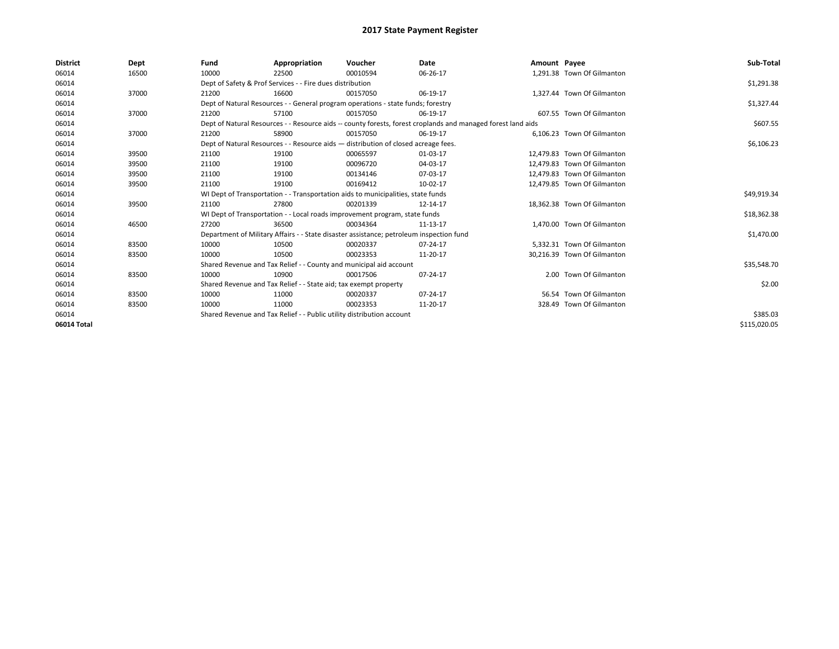| <b>District</b> | Dept  | Fund                                                                  | Appropriation                                                                           | Voucher  | Date                                                                                                         | Amount Payee |                             | Sub-Total    |  |  |  |
|-----------------|-------|-----------------------------------------------------------------------|-----------------------------------------------------------------------------------------|----------|--------------------------------------------------------------------------------------------------------------|--------------|-----------------------------|--------------|--|--|--|
| 06014           | 16500 | 10000                                                                 | 22500                                                                                   | 00010594 | 06-26-17                                                                                                     |              | 1,291.38 Town Of Gilmanton  |              |  |  |  |
| 06014           |       |                                                                       | Dept of Safety & Prof Services - - Fire dues distribution                               |          |                                                                                                              |              |                             | \$1,291.38   |  |  |  |
| 06014           | 37000 | 21200                                                                 | 16600                                                                                   | 00157050 | 06-19-17                                                                                                     |              | 1.327.44 Town Of Gilmanton  |              |  |  |  |
| 06014           |       |                                                                       | Dept of Natural Resources - - General program operations - state funds; forestry        |          |                                                                                                              |              |                             | \$1,327.44   |  |  |  |
| 06014           | 37000 | 21200                                                                 | 57100                                                                                   | 00157050 | 06-19-17                                                                                                     |              | 607.55 Town Of Gilmanton    |              |  |  |  |
| 06014           |       |                                                                       |                                                                                         |          | Dept of Natural Resources - - Resource aids -- county forests, forest croplands and managed forest land aids |              |                             | \$607.55     |  |  |  |
| 06014           | 37000 | 21200                                                                 | 58900                                                                                   | 00157050 | 06-19-17                                                                                                     |              | 6,106.23 Town Of Gilmanton  |              |  |  |  |
| 06014           |       |                                                                       | Dept of Natural Resources - - Resource aids - distribution of closed acreage fees.      |          |                                                                                                              |              |                             | \$6,106.23   |  |  |  |
| 06014           | 39500 | 21100                                                                 | 19100                                                                                   | 00065597 | 01-03-17                                                                                                     |              | 12.479.83 Town Of Gilmanton |              |  |  |  |
| 06014           | 39500 | 21100                                                                 | 19100                                                                                   | 00096720 | 04-03-17                                                                                                     |              | 12.479.83 Town Of Gilmanton |              |  |  |  |
| 06014           | 39500 | 21100                                                                 | 19100                                                                                   | 00134146 | 07-03-17                                                                                                     |              | 12.479.83 Town Of Gilmanton |              |  |  |  |
| 06014           | 39500 | 21100                                                                 | 19100                                                                                   | 00169412 | 10-02-17                                                                                                     |              | 12,479.85 Town Of Gilmanton |              |  |  |  |
| 06014           |       |                                                                       | WI Dept of Transportation - - Transportation aids to municipalities, state funds        |          |                                                                                                              |              |                             |              |  |  |  |
| 06014           | 39500 | 21100                                                                 | 27800                                                                                   | 00201339 | 12-14-17                                                                                                     |              | 18.362.38 Town Of Gilmanton |              |  |  |  |
| 06014           |       |                                                                       | WI Dept of Transportation - - Local roads improvement program, state funds              |          |                                                                                                              |              |                             | \$18,362.38  |  |  |  |
| 06014           | 46500 | 27200                                                                 | 36500                                                                                   | 00034364 | 11-13-17                                                                                                     |              | 1,470.00 Town Of Gilmanton  |              |  |  |  |
| 06014           |       |                                                                       | Department of Military Affairs - - State disaster assistance; petroleum inspection fund |          |                                                                                                              |              |                             | \$1,470.00   |  |  |  |
| 06014           | 83500 | 10000                                                                 | 10500                                                                                   | 00020337 | 07-24-17                                                                                                     |              | 5.332.31 Town Of Gilmanton  |              |  |  |  |
| 06014           | 83500 | 10000                                                                 | 10500                                                                                   | 00023353 | 11-20-17                                                                                                     |              | 30,216.39 Town Of Gilmanton |              |  |  |  |
| 06014           |       |                                                                       | Shared Revenue and Tax Relief - - County and municipal aid account                      |          |                                                                                                              |              |                             | \$35,548.70  |  |  |  |
| 06014           | 83500 | 10000                                                                 | 10900                                                                                   | 00017506 | 07-24-17                                                                                                     |              | 2.00 Town Of Gilmanton      |              |  |  |  |
| 06014           |       |                                                                       | Shared Revenue and Tax Relief - - State aid; tax exempt property                        |          |                                                                                                              |              |                             | \$2.00       |  |  |  |
| 06014           | 83500 | 10000                                                                 | 11000                                                                                   | 00020337 | 07-24-17                                                                                                     |              | 56.54 Town Of Gilmanton     |              |  |  |  |
| 06014           | 83500 | 10000                                                                 | 11000                                                                                   | 00023353 | 11-20-17                                                                                                     |              | 328.49 Town Of Gilmanton    |              |  |  |  |
| 06014           |       | Shared Revenue and Tax Relief - - Public utility distribution account |                                                                                         | \$385.03 |                                                                                                              |              |                             |              |  |  |  |
| 06014 Total     |       |                                                                       |                                                                                         |          |                                                                                                              |              |                             | \$115,020.05 |  |  |  |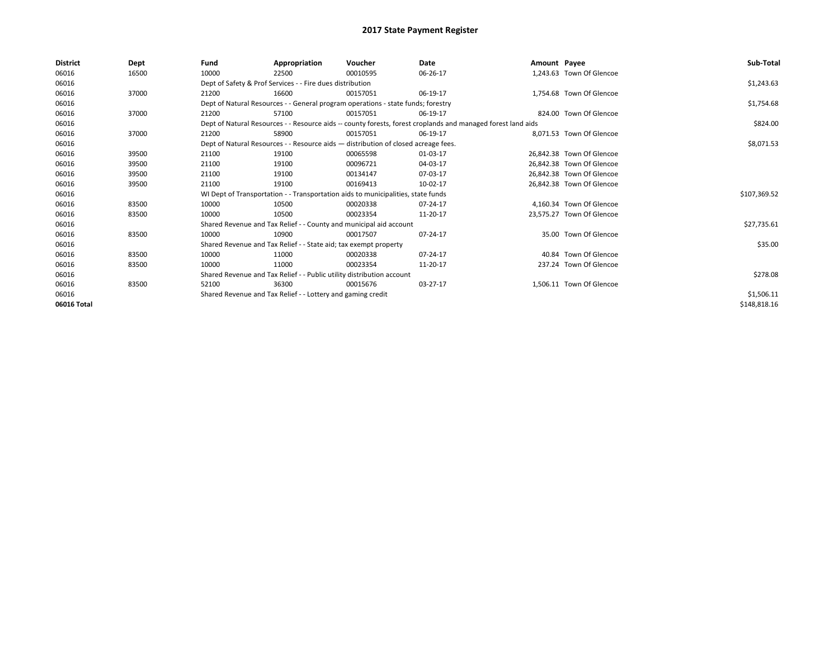| <b>District</b> | Dept  | Fund                                                                  | Appropriation                                                                      | Voucher    | Date                                                                                                         | Amount Payee |                           | Sub-Total    |
|-----------------|-------|-----------------------------------------------------------------------|------------------------------------------------------------------------------------|------------|--------------------------------------------------------------------------------------------------------------|--------------|---------------------------|--------------|
| 06016           | 16500 | 10000                                                                 | 22500                                                                              | 00010595   | 06-26-17                                                                                                     |              | 1,243.63 Town Of Glencoe  |              |
| 06016           |       |                                                                       | Dept of Safety & Prof Services - - Fire dues distribution                          |            |                                                                                                              |              |                           | \$1,243.63   |
| 06016           | 37000 | 21200                                                                 | 16600                                                                              | 00157051   | 06-19-17                                                                                                     |              | 1,754.68 Town Of Glencoe  |              |
| 06016           |       |                                                                       | Dept of Natural Resources - - General program operations - state funds; forestry   |            |                                                                                                              |              |                           | \$1,754.68   |
| 06016           | 37000 | 21200                                                                 | 57100                                                                              | 00157051   | 06-19-17                                                                                                     |              | 824.00 Town Of Glencoe    |              |
| 06016           |       |                                                                       |                                                                                    |            | Dept of Natural Resources - - Resource aids -- county forests, forest croplands and managed forest land aids |              |                           | \$824.00     |
| 06016           | 37000 | 21200                                                                 | 58900                                                                              | 00157051   | 06-19-17                                                                                                     |              | 8.071.53 Town Of Glencoe  |              |
| 06016           |       |                                                                       | Dept of Natural Resources - - Resource aids - distribution of closed acreage fees. |            |                                                                                                              |              |                           | \$8,071.53   |
| 06016           | 39500 | 21100                                                                 | 19100                                                                              | 00065598   | 01-03-17                                                                                                     |              | 26.842.38 Town Of Glencoe |              |
| 06016           | 39500 | 21100                                                                 | 19100                                                                              | 00096721   | 04-03-17                                                                                                     |              | 26.842.38 Town Of Glencoe |              |
| 06016           | 39500 | 21100                                                                 | 19100                                                                              | 00134147   | 07-03-17                                                                                                     |              | 26.842.38 Town Of Glencoe |              |
| 06016           | 39500 | 21100                                                                 | 19100                                                                              | 00169413   | 10-02-17                                                                                                     |              | 26,842.38 Town Of Glencoe |              |
| 06016           |       |                                                                       | WI Dept of Transportation - - Transportation aids to municipalities, state funds   |            |                                                                                                              |              |                           | \$107,369.52 |
| 06016           | 83500 | 10000                                                                 | 10500                                                                              | 00020338   | 07-24-17                                                                                                     |              | 4.160.34 Town Of Glencoe  |              |
| 06016           | 83500 | 10000                                                                 | 10500                                                                              | 00023354   | 11-20-17                                                                                                     |              | 23,575.27 Town Of Glencoe |              |
| 06016           |       |                                                                       | Shared Revenue and Tax Relief - - County and municipal aid account                 |            |                                                                                                              |              |                           | \$27,735.61  |
| 06016           | 83500 | 10000                                                                 | 10900                                                                              | 00017507   | 07-24-17                                                                                                     |              | 35.00 Town Of Glencoe     |              |
| 06016           |       |                                                                       | Shared Revenue and Tax Relief - - State aid; tax exempt property                   |            |                                                                                                              |              |                           | \$35.00      |
| 06016           | 83500 | 10000                                                                 | 11000                                                                              | 00020338   | 07-24-17                                                                                                     |              | 40.84 Town Of Glencoe     |              |
| 06016           | 83500 | 10000                                                                 | 11000                                                                              | 00023354   | 11-20-17                                                                                                     |              | 237.24 Town Of Glencoe    |              |
| 06016           |       | Shared Revenue and Tax Relief - - Public utility distribution account |                                                                                    | \$278.08   |                                                                                                              |              |                           |              |
| 06016           | 83500 | 52100                                                                 | 36300                                                                              | 00015676   | 03-27-17                                                                                                     |              | 1,506.11 Town Of Glencoe  |              |
| 06016           |       | Shared Revenue and Tax Relief - - Lottery and gaming credit           |                                                                                    | \$1,506.11 |                                                                                                              |              |                           |              |
| 06016 Total     |       |                                                                       |                                                                                    |            |                                                                                                              |              |                           | \$148,818.16 |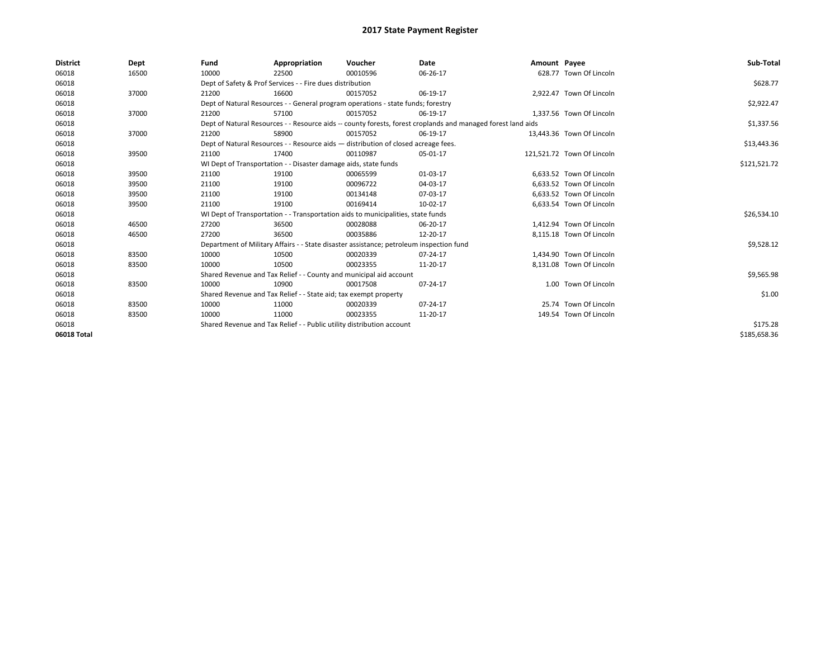| <b>District</b> | Dept  | Fund                                                                  | Appropriation                                                                           | Voucher  | Date                                                                                                         | Amount Payee |                            | Sub-Total    |
|-----------------|-------|-----------------------------------------------------------------------|-----------------------------------------------------------------------------------------|----------|--------------------------------------------------------------------------------------------------------------|--------------|----------------------------|--------------|
| 06018           | 16500 | 10000                                                                 | 22500                                                                                   | 00010596 | 06-26-17                                                                                                     |              | 628.77 Town Of Lincoln     |              |
| 06018           |       |                                                                       | Dept of Safety & Prof Services - - Fire dues distribution                               |          |                                                                                                              |              |                            | \$628.77     |
| 06018           | 37000 | 21200                                                                 | 16600                                                                                   | 00157052 | 06-19-17                                                                                                     |              | 2.922.47 Town Of Lincoln   |              |
| 06018           |       |                                                                       | Dept of Natural Resources - - General program operations - state funds; forestry        |          |                                                                                                              |              |                            | \$2,922.47   |
| 06018           | 37000 | 21200                                                                 | 57100                                                                                   | 00157052 | 06-19-17                                                                                                     |              | 1,337.56 Town Of Lincoln   |              |
| 06018           |       |                                                                       |                                                                                         |          | Dept of Natural Resources - - Resource aids -- county forests, forest croplands and managed forest land aids |              |                            | \$1,337.56   |
| 06018           | 37000 | 21200                                                                 | 58900                                                                                   | 00157052 | 06-19-17                                                                                                     |              | 13,443.36 Town Of Lincoln  |              |
| 06018           |       |                                                                       | Dept of Natural Resources - - Resource aids - distribution of closed acreage fees.      |          | \$13,443.36                                                                                                  |              |                            |              |
| 06018           | 39500 | 21100                                                                 | 17400                                                                                   | 00110987 | 05-01-17                                                                                                     |              | 121,521.72 Town Of Lincoln |              |
| 06018           |       |                                                                       | WI Dept of Transportation - - Disaster damage aids, state funds                         |          |                                                                                                              |              |                            | \$121,521.72 |
| 06018           | 39500 | 21100                                                                 | 19100                                                                                   | 00065599 | 01-03-17                                                                                                     |              | 6,633.52 Town Of Lincoln   |              |
| 06018           | 39500 | 21100                                                                 | 19100                                                                                   | 00096722 | 04-03-17                                                                                                     |              | 6,633.52 Town Of Lincoln   |              |
| 06018           | 39500 | 21100                                                                 | 19100                                                                                   | 00134148 | 07-03-17                                                                                                     |              | 6,633.52 Town Of Lincoln   |              |
| 06018           | 39500 | 21100                                                                 | 19100                                                                                   | 00169414 | 10-02-17                                                                                                     |              | 6,633.54 Town Of Lincoln   |              |
| 06018           |       |                                                                       | WI Dept of Transportation - - Transportation aids to municipalities, state funds        |          |                                                                                                              |              |                            | \$26,534.10  |
| 06018           | 46500 | 27200                                                                 | 36500                                                                                   | 00028088 | 06-20-17                                                                                                     |              | 1,412.94 Town Of Lincoln   |              |
| 06018           | 46500 | 27200                                                                 | 36500                                                                                   | 00035886 | 12-20-17                                                                                                     |              | 8,115.18 Town Of Lincoln   |              |
| 06018           |       |                                                                       | Department of Military Affairs - - State disaster assistance; petroleum inspection fund |          |                                                                                                              |              |                            | \$9,528.12   |
| 06018           | 83500 | 10000                                                                 | 10500                                                                                   | 00020339 | 07-24-17                                                                                                     |              | 1,434.90 Town Of Lincoln   |              |
| 06018           | 83500 | 10000                                                                 | 10500                                                                                   | 00023355 | 11-20-17                                                                                                     |              | 8,131.08 Town Of Lincoln   |              |
| 06018           |       |                                                                       | Shared Revenue and Tax Relief - - County and municipal aid account                      |          |                                                                                                              |              |                            | \$9,565.98   |
| 06018           | 83500 | 10000                                                                 | 10900                                                                                   | 00017508 | 07-24-17                                                                                                     |              | 1.00 Town Of Lincoln       |              |
| 06018           |       |                                                                       | Shared Revenue and Tax Relief - - State aid; tax exempt property                        |          |                                                                                                              |              |                            | \$1.00       |
| 06018           | 83500 | 10000                                                                 | 11000                                                                                   | 00020339 | 07-24-17                                                                                                     |              | 25.74 Town Of Lincoln      |              |
| 06018           | 83500 | 10000                                                                 | 11000                                                                                   | 00023355 | 11-20-17                                                                                                     |              | 149.54 Town Of Lincoln     |              |
| 06018           |       | Shared Revenue and Tax Relief - - Public utility distribution account |                                                                                         | \$175.28 |                                                                                                              |              |                            |              |
| 06018 Total     |       |                                                                       |                                                                                         |          |                                                                                                              |              |                            | \$185,658.36 |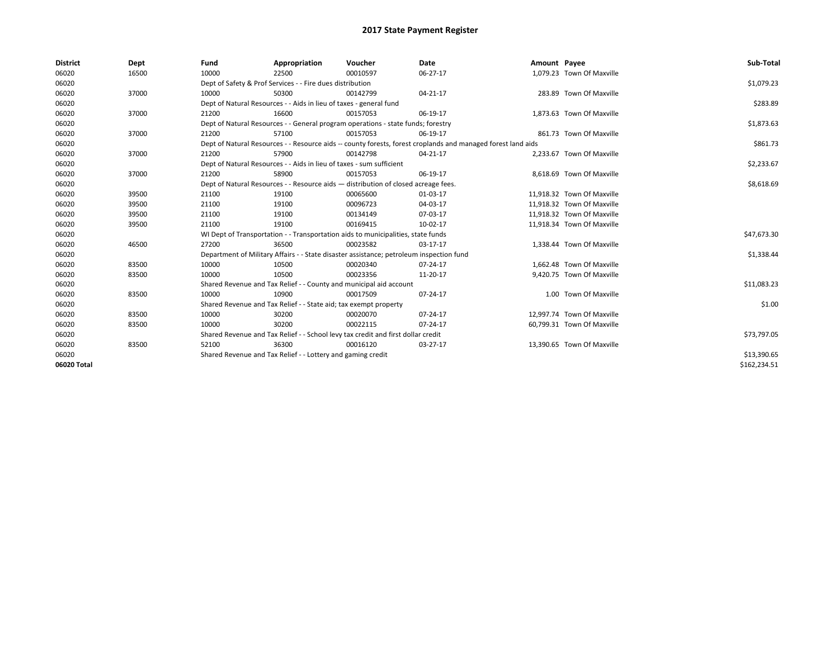| <b>District</b> | Dept  | Fund  | Appropriation                                                                           | Voucher  | Date                                                                                                         | Amount Payee |                            | Sub-Total    |
|-----------------|-------|-------|-----------------------------------------------------------------------------------------|----------|--------------------------------------------------------------------------------------------------------------|--------------|----------------------------|--------------|
| 06020           | 16500 | 10000 | 22500                                                                                   | 00010597 | 06-27-17                                                                                                     |              | 1.079.23 Town Of Maxville  |              |
| 06020           |       |       | Dept of Safety & Prof Services - - Fire dues distribution                               |          |                                                                                                              |              |                            | \$1,079.23   |
| 06020           | 37000 | 10000 | 50300                                                                                   | 00142799 | 04-21-17                                                                                                     |              | 283.89 Town Of Maxville    |              |
| 06020           |       |       | Dept of Natural Resources - - Aids in lieu of taxes - general fund                      |          |                                                                                                              |              |                            | \$283.89     |
| 06020           | 37000 | 21200 | 16600                                                                                   | 00157053 | 06-19-17                                                                                                     |              | 1,873.63 Town Of Maxville  |              |
| 06020           |       |       | Dept of Natural Resources - - General program operations - state funds; forestry        |          |                                                                                                              |              |                            | \$1,873.63   |
| 06020           | 37000 | 21200 | 57100                                                                                   | 00157053 | 06-19-17                                                                                                     |              | 861.73 Town Of Maxville    |              |
| 06020           |       |       |                                                                                         |          | Dept of Natural Resources - - Resource aids -- county forests, forest croplands and managed forest land aids |              |                            | \$861.73     |
| 06020           | 37000 | 21200 | 57900                                                                                   | 00142798 | $04 - 21 - 17$                                                                                               |              | 2,233.67 Town Of Maxville  |              |
| 06020           |       |       | Dept of Natural Resources - - Aids in lieu of taxes - sum sufficient                    |          |                                                                                                              |              |                            | \$2,233.67   |
| 06020           | 37000 | 21200 | 58900                                                                                   | 00157053 | 06-19-17                                                                                                     |              | 8.618.69 Town Of Maxville  |              |
| 06020           |       |       | Dept of Natural Resources - - Resource aids - distribution of closed acreage fees.      |          |                                                                                                              |              |                            | \$8,618.69   |
| 06020           | 39500 | 21100 | 19100                                                                                   | 00065600 | 01-03-17                                                                                                     |              | 11,918.32 Town Of Maxville |              |
| 06020           | 39500 | 21100 | 19100                                                                                   | 00096723 | 04-03-17                                                                                                     |              | 11,918.32 Town Of Maxville |              |
| 06020           | 39500 | 21100 | 19100                                                                                   | 00134149 | 07-03-17                                                                                                     |              | 11,918.32 Town Of Maxville |              |
| 06020           | 39500 | 21100 | 19100                                                                                   | 00169415 | 10-02-17                                                                                                     |              | 11,918.34 Town Of Maxville |              |
| 06020           |       |       | WI Dept of Transportation - - Transportation aids to municipalities, state funds        |          |                                                                                                              |              |                            | \$47,673.30  |
| 06020           | 46500 | 27200 | 36500                                                                                   | 00023582 | 03-17-17                                                                                                     |              | 1,338.44 Town Of Maxville  |              |
| 06020           |       |       | Department of Military Affairs - - State disaster assistance; petroleum inspection fund |          |                                                                                                              |              |                            | \$1,338.44   |
| 06020           | 83500 | 10000 | 10500                                                                                   | 00020340 | 07-24-17                                                                                                     |              | 1.662.48 Town Of Maxville  |              |
| 06020           | 83500 | 10000 | 10500                                                                                   | 00023356 | 11-20-17                                                                                                     |              | 9,420.75 Town Of Maxville  |              |
| 06020           |       |       | Shared Revenue and Tax Relief - - County and municipal aid account                      |          |                                                                                                              |              |                            | \$11,083.23  |
| 06020           | 83500 | 10000 | 10900                                                                                   | 00017509 | 07-24-17                                                                                                     |              | 1.00 Town Of Maxville      |              |
| 06020           |       |       | Shared Revenue and Tax Relief - - State aid; tax exempt property                        |          |                                                                                                              |              |                            | \$1.00       |
| 06020           | 83500 | 10000 | 30200                                                                                   | 00020070 | 07-24-17                                                                                                     |              | 12.997.74 Town Of Maxville |              |
| 06020           | 83500 | 10000 | 30200                                                                                   | 00022115 | 07-24-17                                                                                                     |              | 60,799.31 Town Of Maxville |              |
| 06020           |       |       | Shared Revenue and Tax Relief - - School levy tax credit and first dollar credit        |          |                                                                                                              |              |                            | \$73,797.05  |
| 06020           | 83500 | 52100 | 36300                                                                                   | 00016120 | $03-27-17$                                                                                                   |              | 13,390.65 Town Of Maxville |              |
| 06020           |       |       | Shared Revenue and Tax Relief - - Lottery and gaming credit                             |          |                                                                                                              |              |                            | \$13,390.65  |
| 06020 Total     |       |       |                                                                                         |          |                                                                                                              |              |                            | \$162,234.51 |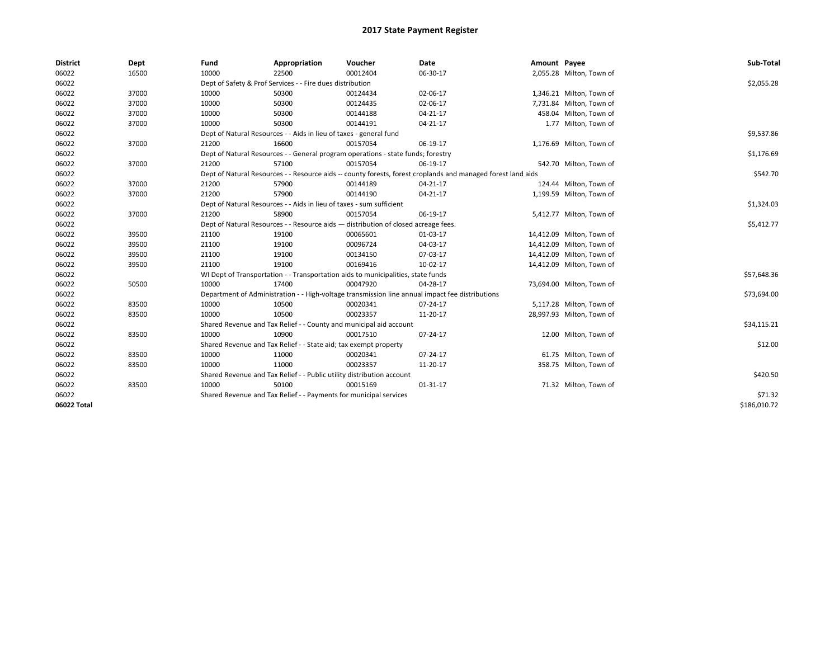| <b>District</b> | Dept  | Fund                                                                                                         | Appropriation                                                                    | Voucher    | Date                                                                                            | Amount Payee |                           | Sub-Total    |
|-----------------|-------|--------------------------------------------------------------------------------------------------------------|----------------------------------------------------------------------------------|------------|-------------------------------------------------------------------------------------------------|--------------|---------------------------|--------------|
| 06022           | 16500 | 10000                                                                                                        | 22500                                                                            | 00012404   | 06-30-17                                                                                        |              | 2,055.28 Milton, Town of  |              |
| 06022           |       |                                                                                                              | Dept of Safety & Prof Services - - Fire dues distribution                        |            |                                                                                                 |              |                           | \$2,055.28   |
| 06022           | 37000 | 10000                                                                                                        | 50300                                                                            | 00124434   | 02-06-17                                                                                        |              | 1,346.21 Milton, Town of  |              |
| 06022           | 37000 | 10000                                                                                                        | 50300                                                                            | 00124435   | 02-06-17                                                                                        |              | 7,731.84 Milton, Town of  |              |
| 06022           | 37000 | 10000                                                                                                        | 50300                                                                            | 00144188   | 04-21-17                                                                                        |              | 458.04 Milton, Town of    |              |
| 06022           | 37000 | 10000                                                                                                        | 50300                                                                            | 00144191   | 04-21-17                                                                                        |              | 1.77 Milton, Town of      |              |
| 06022           |       | Dept of Natural Resources - - Aids in lieu of taxes - general fund                                           |                                                                                  | \$9,537.86 |                                                                                                 |              |                           |              |
| 06022           | 37000 | 21200                                                                                                        | 16600                                                                            | 00157054   | 06-19-17                                                                                        |              | 1,176.69 Milton, Town of  |              |
| 06022           |       |                                                                                                              | Dept of Natural Resources - - General program operations - state funds; forestry |            |                                                                                                 |              |                           | \$1,176.69   |
| 06022           | 37000 | 21200                                                                                                        | 57100                                                                            | 00157054   | 06-19-17                                                                                        |              | 542.70 Milton, Town of    |              |
| 06022           |       | Dept of Natural Resources - - Resource aids -- county forests, forest croplands and managed forest land aids |                                                                                  | \$542.70   |                                                                                                 |              |                           |              |
| 06022           | 37000 | 21200                                                                                                        | 57900                                                                            | 00144189   | 04-21-17                                                                                        |              | 124.44 Milton, Town of    |              |
| 06022           | 37000 | 21200                                                                                                        | 57900                                                                            | 00144190   | 04-21-17                                                                                        |              | 1,199.59 Milton, Town of  |              |
| 06022           |       | Dept of Natural Resources - - Aids in lieu of taxes - sum sufficient                                         |                                                                                  | \$1,324.03 |                                                                                                 |              |                           |              |
| 06022           | 37000 | 21200                                                                                                        | 58900                                                                            | 00157054   | 06-19-17                                                                                        |              | 5,412.77 Milton, Town of  |              |
| 06022           |       | Dept of Natural Resources - - Resource aids - distribution of closed acreage fees.                           |                                                                                  | \$5,412.77 |                                                                                                 |              |                           |              |
| 06022           | 39500 | 21100                                                                                                        | 19100                                                                            | 00065601   | 01-03-17                                                                                        |              | 14,412.09 Milton, Town of |              |
| 06022           | 39500 | 21100                                                                                                        | 19100                                                                            | 00096724   | 04-03-17                                                                                        |              | 14,412.09 Milton, Town of |              |
| 06022           | 39500 | 21100                                                                                                        | 19100                                                                            | 00134150   | 07-03-17                                                                                        |              | 14,412.09 Milton, Town of |              |
| 06022           | 39500 | 21100                                                                                                        | 19100                                                                            | 00169416   | 10-02-17                                                                                        |              | 14,412.09 Milton, Town of |              |
| 06022           |       |                                                                                                              | WI Dept of Transportation - - Transportation aids to municipalities, state funds |            |                                                                                                 |              |                           | \$57,648.36  |
| 06022           | 50500 | 10000                                                                                                        | 17400                                                                            | 00047920   | 04-28-17                                                                                        |              | 73,694.00 Milton, Town of |              |
| 06022           |       |                                                                                                              |                                                                                  |            | Department of Administration - - High-voltage transmission line annual impact fee distributions |              |                           | \$73,694.00  |
| 06022           | 83500 | 10000                                                                                                        | 10500                                                                            | 00020341   | $07 - 24 - 17$                                                                                  |              | 5,117.28 Milton, Town of  |              |
| 06022           | 83500 | 10000                                                                                                        | 10500                                                                            | 00023357   | 11-20-17                                                                                        |              | 28,997.93 Milton, Town of |              |
| 06022           |       |                                                                                                              | Shared Revenue and Tax Relief - - County and municipal aid account               |            |                                                                                                 |              |                           | \$34,115.21  |
| 06022           | 83500 | 10000                                                                                                        | 10900                                                                            | 00017510   | 07-24-17                                                                                        |              | 12.00 Milton, Town of     |              |
| 06022           |       |                                                                                                              | Shared Revenue and Tax Relief - - State aid; tax exempt property                 |            |                                                                                                 |              |                           | \$12.00      |
| 06022           | 83500 | 10000                                                                                                        | 11000                                                                            | 00020341   | $07 - 24 - 17$                                                                                  |              | 61.75 Milton, Town of     |              |
| 06022           | 83500 | 10000                                                                                                        | 11000                                                                            | 00023357   | 11-20-17                                                                                        |              | 358.75 Milton, Town of    |              |
| 06022           |       |                                                                                                              | Shared Revenue and Tax Relief - - Public utility distribution account            |            |                                                                                                 |              |                           | \$420.50     |
| 06022           | 83500 | 10000                                                                                                        | 50100                                                                            | 00015169   | 01-31-17                                                                                        |              | 71.32 Milton, Town of     |              |
| 06022           |       | Shared Revenue and Tax Relief - - Payments for municipal services                                            |                                                                                  | \$71.32    |                                                                                                 |              |                           |              |
| 06022 Total     |       |                                                                                                              |                                                                                  |            |                                                                                                 |              |                           | \$186,010.72 |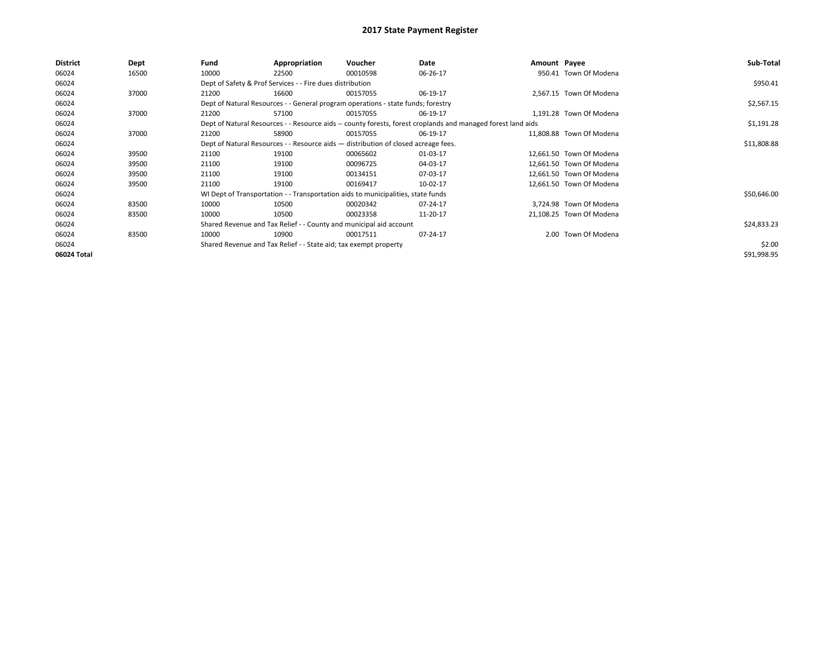| <b>District</b> | Dept  | Fund  | Appropriation                                                                      | Voucher  | Date                                                                                                         | Amount Payee |                          | Sub-Total   |
|-----------------|-------|-------|------------------------------------------------------------------------------------|----------|--------------------------------------------------------------------------------------------------------------|--------------|--------------------------|-------------|
| 06024           | 16500 | 10000 | 22500                                                                              | 00010598 | 06-26-17                                                                                                     |              | 950.41 Town Of Modena    |             |
| 06024           |       |       | Dept of Safety & Prof Services - - Fire dues distribution                          |          |                                                                                                              |              |                          | \$950.41    |
| 06024           | 37000 | 21200 | 16600                                                                              | 00157055 | 06-19-17                                                                                                     |              | 2,567.15 Town Of Modena  |             |
| 06024           |       |       | Dept of Natural Resources - - General program operations - state funds; forestry   |          |                                                                                                              |              |                          | \$2,567.15  |
| 06024           | 37000 | 21200 | 57100                                                                              | 00157055 | 06-19-17                                                                                                     |              | 1,191.28 Town Of Modena  |             |
| 06024           |       |       |                                                                                    |          | Dept of Natural Resources - - Resource aids -- county forests, forest croplands and managed forest land aids |              |                          | \$1,191.28  |
| 06024           | 37000 | 21200 | 58900                                                                              | 00157055 | 06-19-17                                                                                                     |              | 11.808.88 Town Of Modena |             |
| 06024           |       |       | Dept of Natural Resources - - Resource aids - distribution of closed acreage fees. |          | \$11,808.88                                                                                                  |              |                          |             |
| 06024           | 39500 | 21100 | 19100                                                                              | 00065602 | 01-03-17                                                                                                     |              | 12,661.50 Town Of Modena |             |
| 06024           | 39500 | 21100 | 19100                                                                              | 00096725 | 04-03-17                                                                                                     |              | 12,661.50 Town Of Modena |             |
| 06024           | 39500 | 21100 | 19100                                                                              | 00134151 | 07-03-17                                                                                                     |              | 12,661.50 Town Of Modena |             |
| 06024           | 39500 | 21100 | 19100                                                                              | 00169417 | 10-02-17                                                                                                     |              | 12,661.50 Town Of Modena |             |
| 06024           |       |       | WI Dept of Transportation - - Transportation aids to municipalities, state funds   |          |                                                                                                              |              |                          | \$50,646.00 |
| 06024           | 83500 | 10000 | 10500                                                                              | 00020342 | 07-24-17                                                                                                     |              | 3,724.98 Town Of Modena  |             |
| 06024           | 83500 | 10000 | 10500                                                                              | 00023358 | 11-20-17                                                                                                     |              | 21,108.25 Town Of Modena |             |
| 06024           |       |       | Shared Revenue and Tax Relief - - County and municipal aid account                 |          |                                                                                                              |              |                          | \$24,833.23 |
| 06024           | 83500 | 10000 | 10900                                                                              | 00017511 | 07-24-17                                                                                                     |              | 2.00 Town Of Modena      |             |
| 06024           |       |       | Shared Revenue and Tax Relief - - State aid; tax exempt property                   |          |                                                                                                              |              |                          | \$2.00      |
| 06024 Total     |       |       |                                                                                    |          |                                                                                                              |              |                          | \$91,998.95 |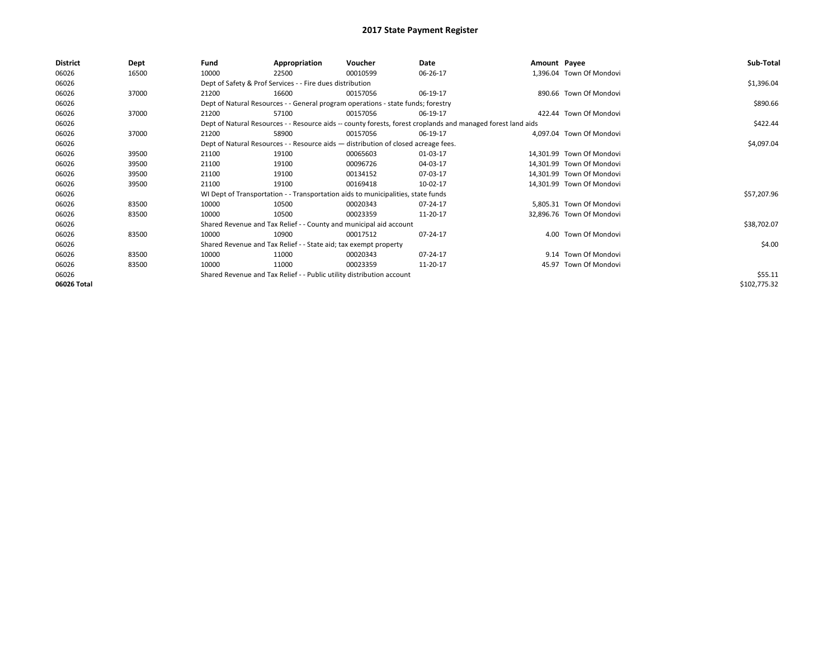| District    | Dept  | Fund  | Appropriation                                                                      | Voucher  | Date                                                                                                         | Amount Payee |                           | Sub-Total    |
|-------------|-------|-------|------------------------------------------------------------------------------------|----------|--------------------------------------------------------------------------------------------------------------|--------------|---------------------------|--------------|
| 06026       | 16500 | 10000 | 22500                                                                              | 00010599 | 06-26-17                                                                                                     |              | 1,396.04 Town Of Mondovi  |              |
| 06026       |       |       | Dept of Safety & Prof Services - - Fire dues distribution                          |          |                                                                                                              |              |                           | \$1,396.04   |
| 06026       | 37000 | 21200 | 16600                                                                              | 00157056 | 06-19-17                                                                                                     |              | 890.66 Town Of Mondovi    |              |
| 06026       |       |       | Dept of Natural Resources - - General program operations - state funds; forestry   |          |                                                                                                              |              |                           | \$890.66     |
| 06026       | 37000 | 21200 | 57100                                                                              | 00157056 | 06-19-17                                                                                                     |              | 422.44 Town Of Mondovi    |              |
| 06026       |       |       |                                                                                    |          | Dept of Natural Resources - - Resource aids -- county forests, forest croplands and managed forest land aids |              |                           | \$422.44     |
| 06026       | 37000 | 21200 | 58900                                                                              | 00157056 | 06-19-17                                                                                                     |              | 4.097.04 Town Of Mondovi  |              |
| 06026       |       |       | Dept of Natural Resources - - Resource aids - distribution of closed acreage fees. |          | \$4,097.04                                                                                                   |              |                           |              |
| 06026       | 39500 | 21100 | 19100                                                                              | 00065603 | 01-03-17                                                                                                     |              | 14,301.99 Town Of Mondovi |              |
| 06026       | 39500 | 21100 | 19100                                                                              | 00096726 | 04-03-17                                                                                                     |              | 14.301.99 Town Of Mondovi |              |
| 06026       | 39500 | 21100 | 19100                                                                              | 00134152 | 07-03-17                                                                                                     |              | 14,301.99 Town Of Mondovi |              |
| 06026       | 39500 | 21100 | 19100                                                                              | 00169418 | 10-02-17                                                                                                     |              | 14,301.99 Town Of Mondovi |              |
| 06026       |       |       | WI Dept of Transportation - - Transportation aids to municipalities, state funds   |          |                                                                                                              |              |                           | \$57,207.96  |
| 06026       | 83500 | 10000 | 10500                                                                              | 00020343 | 07-24-17                                                                                                     |              | 5,805.31 Town Of Mondovi  |              |
| 06026       | 83500 | 10000 | 10500                                                                              | 00023359 | 11-20-17                                                                                                     |              | 32,896.76 Town Of Mondovi |              |
| 06026       |       |       | Shared Revenue and Tax Relief - - County and municipal aid account                 |          |                                                                                                              |              |                           | \$38,702.07  |
| 06026       | 83500 | 10000 | 10900                                                                              | 00017512 | 07-24-17                                                                                                     |              | 4.00 Town Of Mondovi      |              |
| 06026       |       |       | Shared Revenue and Tax Relief - - State aid; tax exempt property                   |          |                                                                                                              |              |                           | \$4.00       |
| 06026       | 83500 | 10000 | 11000                                                                              | 00020343 | 07-24-17                                                                                                     |              | 9.14 Town Of Mondovi      |              |
| 06026       | 83500 | 10000 | 11000                                                                              | 00023359 | 11-20-17                                                                                                     |              | 45.97 Town Of Mondovi     |              |
| 06026       |       |       | Shared Revenue and Tax Relief - - Public utility distribution account              |          |                                                                                                              |              |                           | \$55.11      |
| 06026 Total |       |       |                                                                                    |          |                                                                                                              |              |                           | \$102,775.32 |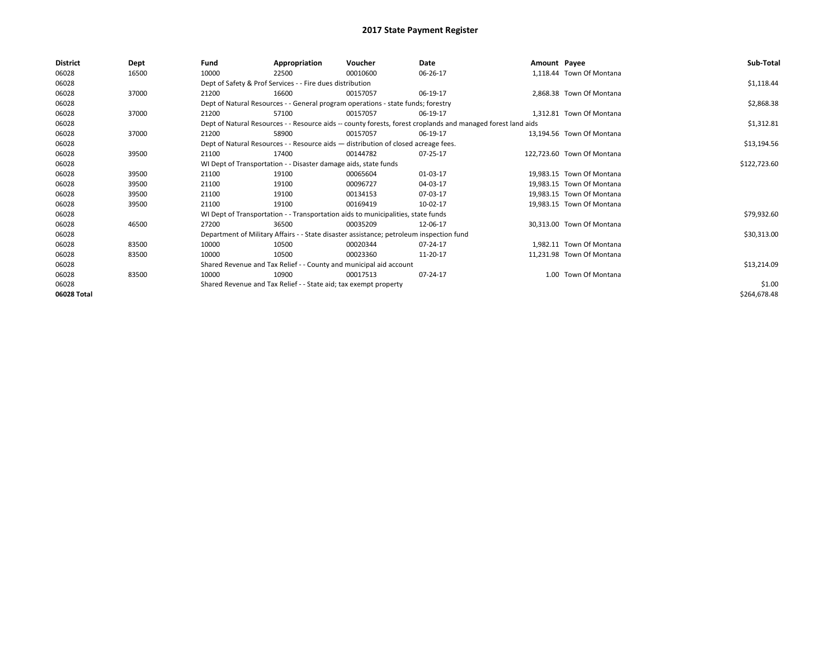| <b>District</b> | Dept  | Fund  | Appropriation                                                                           | Voucher  | Date                                                                                                         | Amount Payee |                            | Sub-Total    |
|-----------------|-------|-------|-----------------------------------------------------------------------------------------|----------|--------------------------------------------------------------------------------------------------------------|--------------|----------------------------|--------------|
| 06028           | 16500 | 10000 | 22500                                                                                   | 00010600 | 06-26-17                                                                                                     |              | 1,118.44 Town Of Montana   |              |
| 06028           |       |       | Dept of Safety & Prof Services - - Fire dues distribution                               |          |                                                                                                              |              |                            | \$1,118.44   |
| 06028           | 37000 | 21200 | 16600                                                                                   | 00157057 | 06-19-17                                                                                                     |              | 2.868.38 Town Of Montana   |              |
| 06028           |       |       | Dept of Natural Resources - - General program operations - state funds; forestry        |          |                                                                                                              |              |                            | \$2,868.38   |
| 06028           | 37000 | 21200 | 57100                                                                                   | 00157057 | 06-19-17                                                                                                     |              | 1,312.81 Town Of Montana   |              |
| 06028           |       |       |                                                                                         |          | Dept of Natural Resources - - Resource aids -- county forests, forest croplands and managed forest land aids |              |                            | \$1,312.81   |
| 06028           | 37000 | 21200 | 58900                                                                                   | 00157057 | 06-19-17                                                                                                     |              | 13,194.56 Town Of Montana  |              |
| 06028           |       |       | Dept of Natural Resources - - Resource aids - distribution of closed acreage fees.      |          | \$13,194.56                                                                                                  |              |                            |              |
| 06028           | 39500 | 21100 | 17400                                                                                   | 00144782 | 07-25-17                                                                                                     |              | 122,723.60 Town Of Montana |              |
| 06028           |       |       | WI Dept of Transportation - - Disaster damage aids, state funds                         |          |                                                                                                              |              |                            | \$122,723.60 |
| 06028           | 39500 | 21100 | 19100                                                                                   | 00065604 | 01-03-17                                                                                                     |              | 19.983.15 Town Of Montana  |              |
| 06028           | 39500 | 21100 | 19100                                                                                   | 00096727 | 04-03-17                                                                                                     |              | 19.983.15 Town Of Montana  |              |
| 06028           | 39500 | 21100 | 19100                                                                                   | 00134153 | 07-03-17                                                                                                     |              | 19.983.15 Town Of Montana  |              |
| 06028           | 39500 | 21100 | 19100                                                                                   | 00169419 | 10-02-17                                                                                                     |              | 19,983.15 Town Of Montana  |              |
| 06028           |       |       | WI Dept of Transportation - - Transportation aids to municipalities, state funds        |          |                                                                                                              |              |                            | \$79,932.60  |
| 06028           | 46500 | 27200 | 36500                                                                                   | 00035209 | 12-06-17                                                                                                     |              | 30,313.00 Town Of Montana  |              |
| 06028           |       |       | Department of Military Affairs - - State disaster assistance; petroleum inspection fund |          |                                                                                                              |              |                            | \$30,313.00  |
| 06028           | 83500 | 10000 | 10500                                                                                   | 00020344 | 07-24-17                                                                                                     |              | 1,982.11 Town Of Montana   |              |
| 06028           | 83500 | 10000 | 10500                                                                                   | 00023360 | 11-20-17                                                                                                     |              | 11,231.98 Town Of Montana  |              |
| 06028           |       |       | Shared Revenue and Tax Relief - - County and municipal aid account                      |          |                                                                                                              |              |                            | \$13,214.09  |
| 06028           | 83500 | 10000 | 10900                                                                                   | 00017513 | 07-24-17                                                                                                     |              | 1.00 Town Of Montana       |              |
| 06028           |       |       | Shared Revenue and Tax Relief - - State aid; tax exempt property                        |          |                                                                                                              |              |                            | \$1.00       |
| 06028 Total     |       |       |                                                                                         |          |                                                                                                              |              |                            | \$264,678.48 |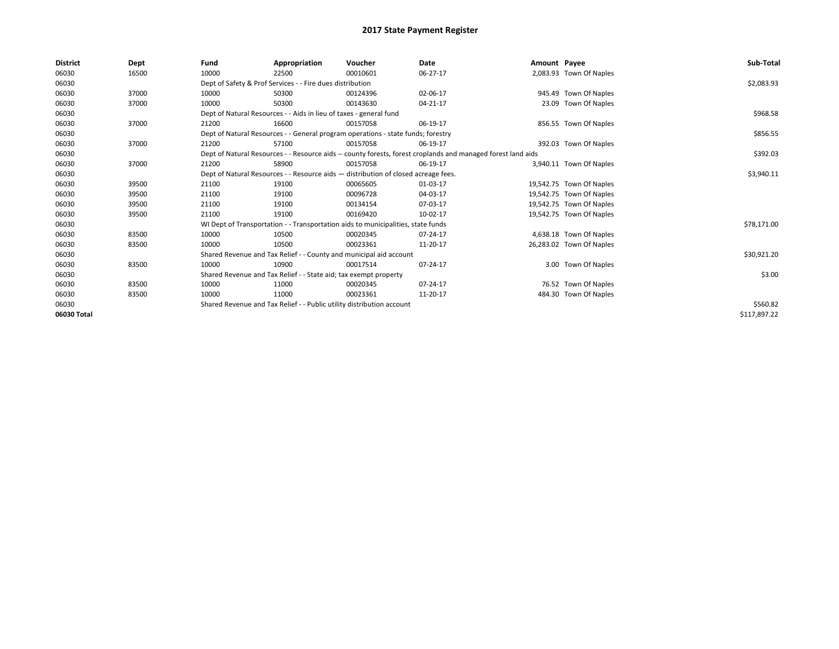| <b>District</b> | Dept  | Fund                                                                               | Appropriation                                                                    | Voucher    | Date                                                                                                         | Amount Payee |                          | Sub-Total    |
|-----------------|-------|------------------------------------------------------------------------------------|----------------------------------------------------------------------------------|------------|--------------------------------------------------------------------------------------------------------------|--------------|--------------------------|--------------|
| 06030           | 16500 | 10000                                                                              | 22500                                                                            | 00010601   | 06-27-17                                                                                                     |              | 2,083.93 Town Of Naples  |              |
| 06030           |       |                                                                                    | Dept of Safety & Prof Services - - Fire dues distribution                        |            |                                                                                                              |              |                          | \$2,083.93   |
| 06030           | 37000 | 10000                                                                              | 50300                                                                            | 00124396   | 02-06-17                                                                                                     |              | 945.49 Town Of Naples    |              |
| 06030           | 37000 | 10000                                                                              | 50300                                                                            | 00143630   | 04-21-17                                                                                                     |              | 23.09 Town Of Naples     |              |
| 06030           |       |                                                                                    | Dept of Natural Resources - - Aids in lieu of taxes - general fund               |            |                                                                                                              |              |                          | \$968.58     |
| 06030           | 37000 | 21200                                                                              | 16600                                                                            | 00157058   | 06-19-17                                                                                                     |              | 856.55 Town Of Naples    |              |
| 06030           |       |                                                                                    | Dept of Natural Resources - - General program operations - state funds; forestry |            |                                                                                                              |              |                          | \$856.55     |
| 06030           | 37000 | 21200                                                                              | 57100                                                                            | 00157058   | 06-19-17                                                                                                     |              | 392.03 Town Of Naples    |              |
| 06030           |       |                                                                                    |                                                                                  |            | Dept of Natural Resources - - Resource aids -- county forests, forest croplands and managed forest land aids |              |                          | \$392.03     |
| 06030           | 37000 | 21200                                                                              | 58900                                                                            | 00157058   | 06-19-17                                                                                                     |              | 3,940.11 Town Of Naples  |              |
| 06030           |       | Dept of Natural Resources - - Resource aids - distribution of closed acreage fees. |                                                                                  | \$3,940.11 |                                                                                                              |              |                          |              |
| 06030           | 39500 | 21100                                                                              | 19100                                                                            | 00065605   | 01-03-17                                                                                                     |              | 19,542.75 Town Of Naples |              |
| 06030           | 39500 | 21100                                                                              | 19100                                                                            | 00096728   | 04-03-17                                                                                                     |              | 19,542.75 Town Of Naples |              |
| 06030           | 39500 | 21100                                                                              | 19100                                                                            | 00134154   | 07-03-17                                                                                                     |              | 19,542.75 Town Of Naples |              |
| 06030           | 39500 | 21100                                                                              | 19100                                                                            | 00169420   | 10-02-17                                                                                                     |              | 19,542.75 Town Of Naples |              |
| 06030           |       |                                                                                    | WI Dept of Transportation - - Transportation aids to municipalities, state funds |            |                                                                                                              |              |                          | \$78,171.00  |
| 06030           | 83500 | 10000                                                                              | 10500                                                                            | 00020345   | 07-24-17                                                                                                     |              | 4,638.18 Town Of Naples  |              |
| 06030           | 83500 | 10000                                                                              | 10500                                                                            | 00023361   | 11-20-17                                                                                                     |              | 26,283.02 Town Of Naples |              |
| 06030           |       |                                                                                    | Shared Revenue and Tax Relief - - County and municipal aid account               |            |                                                                                                              |              |                          | \$30,921.20  |
| 06030           | 83500 | 10000                                                                              | 10900                                                                            | 00017514   | 07-24-17                                                                                                     |              | 3.00 Town Of Naples      |              |
| 06030           |       |                                                                                    | Shared Revenue and Tax Relief - - State aid; tax exempt property                 |            |                                                                                                              |              |                          | \$3.00       |
| 06030           | 83500 | 10000                                                                              | 11000                                                                            | 00020345   | 07-24-17                                                                                                     |              | 76.52 Town Of Naples     |              |
| 06030           | 83500 | 10000                                                                              | 11000                                                                            | 00023361   | 11-20-17                                                                                                     |              | 484.30 Town Of Naples    |              |
| 06030           |       | Shared Revenue and Tax Relief - - Public utility distribution account              |                                                                                  | \$560.82   |                                                                                                              |              |                          |              |
| 06030 Total     |       |                                                                                    |                                                                                  |            |                                                                                                              |              |                          | \$117,897.22 |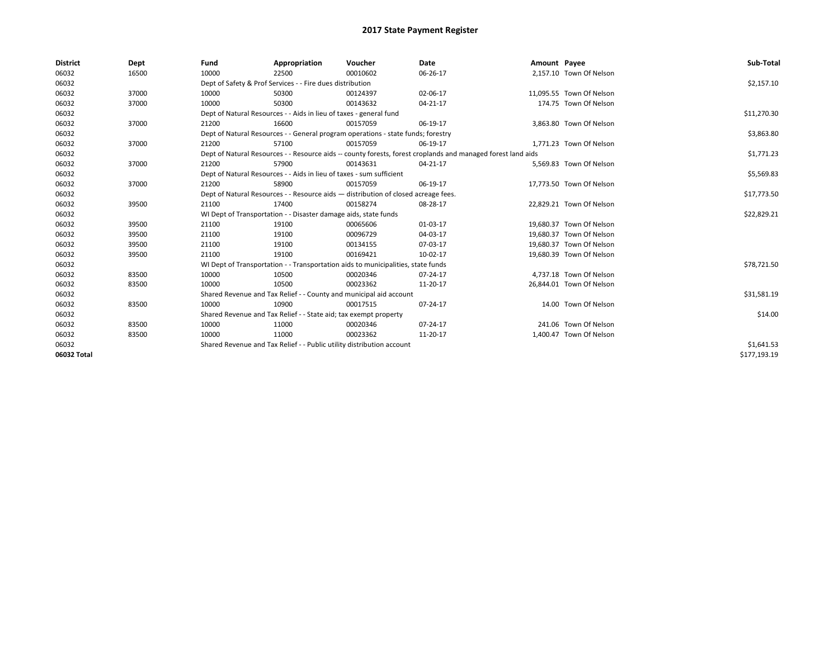| <b>District</b> | Dept  | Fund                                                                               | Appropriation                                                                                                | Voucher                                                                          | Date     | Amount Payee |                          | Sub-Total    |  |  |  |
|-----------------|-------|------------------------------------------------------------------------------------|--------------------------------------------------------------------------------------------------------------|----------------------------------------------------------------------------------|----------|--------------|--------------------------|--------------|--|--|--|
| 06032           | 16500 | 10000                                                                              | 22500                                                                                                        | 00010602                                                                         | 06-26-17 |              | 2,157.10 Town Of Nelson  |              |  |  |  |
| 06032           |       |                                                                                    | Dept of Safety & Prof Services - - Fire dues distribution                                                    |                                                                                  |          |              |                          | \$2,157.10   |  |  |  |
| 06032           | 37000 | 10000                                                                              | 50300                                                                                                        | 00124397                                                                         | 02-06-17 |              | 11,095.55 Town Of Nelson |              |  |  |  |
| 06032           | 37000 | 10000                                                                              | 50300                                                                                                        | 00143632                                                                         | 04-21-17 |              | 174.75 Town Of Nelson    |              |  |  |  |
| 06032           |       |                                                                                    | Dept of Natural Resources - - Aids in lieu of taxes - general fund                                           |                                                                                  |          |              |                          | \$11,270.30  |  |  |  |
| 06032           | 37000 | 21200                                                                              | 16600                                                                                                        | 00157059                                                                         | 06-19-17 |              | 3,863.80 Town Of Nelson  |              |  |  |  |
| 06032           |       | Dept of Natural Resources - - General program operations - state funds; forestry   |                                                                                                              | \$3,863.80                                                                       |          |              |                          |              |  |  |  |
| 06032           | 37000 | 21200                                                                              | 57100                                                                                                        | 00157059                                                                         | 06-19-17 |              | 1.771.23 Town Of Nelson  |              |  |  |  |
| 06032           |       |                                                                                    | Dept of Natural Resources - - Resource aids -- county forests, forest croplands and managed forest land aids |                                                                                  |          |              |                          |              |  |  |  |
| 06032           | 37000 | 21200                                                                              | 57900                                                                                                        | 00143631                                                                         | 04-21-17 |              | 5,569.83 Town Of Nelson  |              |  |  |  |
| 06032           |       |                                                                                    | Dept of Natural Resources - - Aids in lieu of taxes - sum sufficient                                         |                                                                                  |          |              |                          | \$5,569.83   |  |  |  |
| 06032           | 37000 | 21200                                                                              | 58900                                                                                                        | 00157059                                                                         | 06-19-17 |              | 17,773.50 Town Of Nelson |              |  |  |  |
| 06032           |       | Dept of Natural Resources - - Resource aids - distribution of closed acreage fees. |                                                                                                              | \$17,773.50                                                                      |          |              |                          |              |  |  |  |
| 06032           | 39500 | 21100                                                                              | 17400                                                                                                        | 00158274                                                                         | 08-28-17 |              | 22,829.21 Town Of Nelson |              |  |  |  |
| 06032           |       |                                                                                    | WI Dept of Transportation - - Disaster damage aids, state funds                                              |                                                                                  |          |              |                          | \$22,829.21  |  |  |  |
| 06032           | 39500 | 21100                                                                              | 19100                                                                                                        | 00065606                                                                         | 01-03-17 |              | 19,680.37 Town Of Nelson |              |  |  |  |
| 06032           | 39500 | 21100                                                                              | 19100                                                                                                        | 00096729                                                                         | 04-03-17 |              | 19.680.37 Town Of Nelson |              |  |  |  |
| 06032           | 39500 | 21100                                                                              | 19100                                                                                                        | 00134155                                                                         | 07-03-17 |              | 19,680.37 Town Of Nelson |              |  |  |  |
| 06032           | 39500 | 21100                                                                              | 19100                                                                                                        | 00169421                                                                         | 10-02-17 |              | 19,680.39 Town Of Nelson |              |  |  |  |
| 06032           |       |                                                                                    |                                                                                                              | WI Dept of Transportation - - Transportation aids to municipalities, state funds |          |              |                          | \$78,721.50  |  |  |  |
| 06032           | 83500 | 10000                                                                              | 10500                                                                                                        | 00020346                                                                         | 07-24-17 |              | 4,737.18 Town Of Nelson  |              |  |  |  |
| 06032           | 83500 | 10000                                                                              | 10500                                                                                                        | 00023362                                                                         | 11-20-17 |              | 26,844.01 Town Of Nelson |              |  |  |  |
| 06032           |       |                                                                                    |                                                                                                              | Shared Revenue and Tax Relief - - County and municipal aid account               |          |              |                          | \$31,581.19  |  |  |  |
| 06032           | 83500 | 10000                                                                              | 10900                                                                                                        | 00017515                                                                         | 07-24-17 |              | 14.00 Town Of Nelson     |              |  |  |  |
| 06032           |       | Shared Revenue and Tax Relief - - State aid; tax exempt property                   |                                                                                                              | \$14.00                                                                          |          |              |                          |              |  |  |  |
| 06032           | 83500 | 10000                                                                              | 11000                                                                                                        | 00020346                                                                         | 07-24-17 |              | 241.06 Town Of Nelson    |              |  |  |  |
| 06032           | 83500 | 10000                                                                              | 11000                                                                                                        | 00023362                                                                         | 11-20-17 |              | 1,400.47 Town Of Nelson  |              |  |  |  |
| 06032           |       | Shared Revenue and Tax Relief - - Public utility distribution account              |                                                                                                              | \$1,641.53                                                                       |          |              |                          |              |  |  |  |
| 06032 Total     |       |                                                                                    |                                                                                                              |                                                                                  |          |              |                          | \$177,193.19 |  |  |  |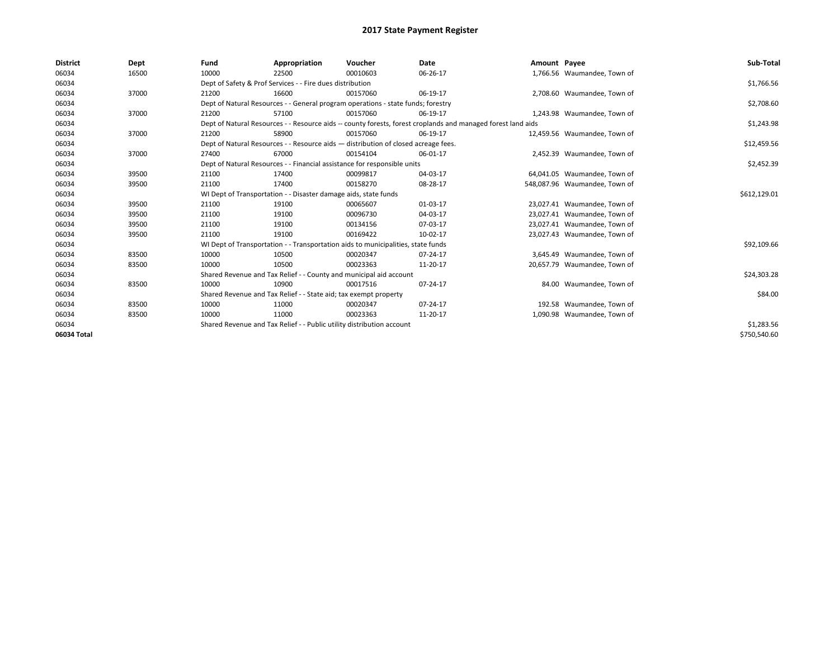| <b>District</b> | Dept  | Fund  | Appropriation                                                                                                | Voucher  | Date         | Amount Payee |                               | Sub-Total    |
|-----------------|-------|-------|--------------------------------------------------------------------------------------------------------------|----------|--------------|--------------|-------------------------------|--------------|
| 06034           | 16500 | 10000 | 22500                                                                                                        | 00010603 | 06-26-17     |              | 1,766.56 Waumandee, Town of   |              |
| 06034           |       |       | Dept of Safety & Prof Services - - Fire dues distribution                                                    |          |              |              |                               | \$1,766.56   |
| 06034           | 37000 | 21200 | 16600                                                                                                        | 00157060 | 06-19-17     |              | 2.708.60 Waumandee, Town of   |              |
| 06034           |       |       | Dept of Natural Resources - - General program operations - state funds; forestry                             |          |              |              |                               | \$2,708.60   |
| 06034           | 37000 | 21200 | 57100                                                                                                        | 00157060 | 06-19-17     |              | 1,243.98 Waumandee, Town of   |              |
| 06034           |       |       | Dept of Natural Resources - - Resource aids -- county forests, forest croplands and managed forest land aids |          |              |              |                               | \$1,243.98   |
| 06034           | 37000 | 21200 | 58900                                                                                                        | 00157060 | 06-19-17     |              | 12,459.56 Waumandee, Town of  |              |
| 06034           |       |       | Dept of Natural Resources - - Resource aids - distribution of closed acreage fees.                           |          |              |              |                               | \$12,459.56  |
| 06034           | 37000 | 27400 | 67000                                                                                                        | 00154104 | 06-01-17     |              | 2,452.39 Waumandee, Town of   |              |
| 06034           |       |       | Dept of Natural Resources - - Financial assistance for responsible units                                     |          |              |              |                               | \$2,452.39   |
| 06034           | 39500 | 21100 | 17400                                                                                                        | 00099817 | 04-03-17     |              | 64,041.05 Waumandee, Town of  |              |
| 06034           | 39500 | 21100 | 17400                                                                                                        | 00158270 | 08-28-17     |              | 548,087.96 Waumandee, Town of |              |
| 06034           |       |       | WI Dept of Transportation - - Disaster damage aids, state funds                                              |          | \$612,129.01 |              |                               |              |
| 06034           | 39500 | 21100 | 19100                                                                                                        | 00065607 | 01-03-17     |              | 23,027.41 Waumandee, Town of  |              |
| 06034           | 39500 | 21100 | 19100                                                                                                        | 00096730 | 04-03-17     |              | 23,027.41 Waumandee, Town of  |              |
| 06034           | 39500 | 21100 | 19100                                                                                                        | 00134156 | 07-03-17     |              | 23,027.41 Waumandee, Town of  |              |
| 06034           | 39500 | 21100 | 19100                                                                                                        | 00169422 | 10-02-17     |              | 23,027.43 Waumandee, Town of  |              |
| 06034           |       |       | WI Dept of Transportation - - Transportation aids to municipalities, state funds                             |          |              |              |                               | \$92,109.66  |
| 06034           | 83500 | 10000 | 10500                                                                                                        | 00020347 | 07-24-17     |              | 3,645.49 Waumandee, Town of   |              |
| 06034           | 83500 | 10000 | 10500                                                                                                        | 00023363 | 11-20-17     |              | 20,657.79 Waumandee, Town of  |              |
| 06034           |       |       | Shared Revenue and Tax Relief - - County and municipal aid account                                           |          |              |              |                               | \$24,303.28  |
| 06034           | 83500 | 10000 | 10900                                                                                                        | 00017516 | 07-24-17     |              | 84.00 Waumandee, Town of      |              |
| 06034           |       |       | Shared Revenue and Tax Relief - - State aid; tax exempt property                                             |          |              |              |                               | \$84.00      |
| 06034           | 83500 | 10000 | 11000                                                                                                        | 00020347 | 07-24-17     |              | 192.58 Waumandee, Town of     |              |
| 06034           | 83500 | 10000 | 11000                                                                                                        | 00023363 | 11-20-17     |              | 1,090.98 Waumandee, Town of   |              |
| 06034           |       |       | Shared Revenue and Tax Relief - - Public utility distribution account                                        |          | \$1,283.56   |              |                               |              |
| 06034 Total     |       |       |                                                                                                              |          |              |              |                               | \$750,540.60 |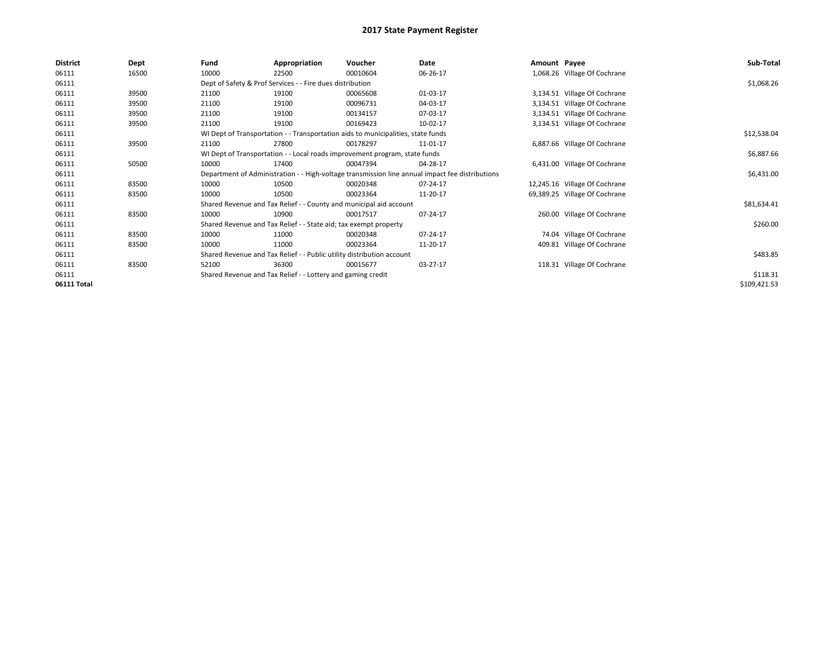| <b>District</b> | Dept  | Fund  | Appropriation                                                                    | Voucher  | Date                                                                                            | Amount Payee |                               | Sub-Total    |
|-----------------|-------|-------|----------------------------------------------------------------------------------|----------|-------------------------------------------------------------------------------------------------|--------------|-------------------------------|--------------|
| 06111           | 16500 | 10000 | 22500                                                                            | 00010604 | 06-26-17                                                                                        |              | 1,068.26 Village Of Cochrane  |              |
| 06111           |       |       | Dept of Safety & Prof Services - - Fire dues distribution                        |          |                                                                                                 |              |                               | \$1,068.26   |
| 06111           | 39500 | 21100 | 19100                                                                            | 00065608 | 01-03-17                                                                                        |              | 3,134.51 Village Of Cochrane  |              |
| 06111           | 39500 | 21100 | 19100                                                                            | 00096731 | 04-03-17                                                                                        |              | 3,134.51 Village Of Cochrane  |              |
| 06111           | 39500 | 21100 | 19100                                                                            | 00134157 | 07-03-17                                                                                        |              | 3,134.51 Village Of Cochrane  |              |
| 06111           | 39500 | 21100 | 19100                                                                            | 00169423 | 10-02-17                                                                                        |              | 3,134.51 Village Of Cochrane  |              |
| 06111           |       |       | WI Dept of Transportation - - Transportation aids to municipalities, state funds |          |                                                                                                 |              |                               | \$12,538.04  |
| 06111           | 39500 | 21100 | 27800                                                                            | 00178297 | 11-01-17                                                                                        |              | 6,887.66 Village Of Cochrane  |              |
| 06111           |       |       | WI Dept of Transportation - - Local roads improvement program, state funds       |          |                                                                                                 |              |                               | \$6,887.66   |
| 06111           | 50500 | 10000 | 17400                                                                            | 00047394 | 04-28-17                                                                                        |              | 6,431.00 Village Of Cochrane  |              |
| 06111           |       |       |                                                                                  |          | Department of Administration - - High-voltage transmission line annual impact fee distributions |              |                               | \$6,431.00   |
| 06111           | 83500 | 10000 | 10500                                                                            | 00020348 | 07-24-17                                                                                        |              | 12,245.16 Village Of Cochrane |              |
| 06111           | 83500 | 10000 | 10500                                                                            | 00023364 | 11-20-17                                                                                        |              | 69,389.25 Village Of Cochrane |              |
| 06111           |       |       | Shared Revenue and Tax Relief - - County and municipal aid account               |          |                                                                                                 |              |                               | \$81,634.41  |
| 06111           | 83500 | 10000 | 10900                                                                            | 00017517 | 07-24-17                                                                                        |              | 260.00 Village Of Cochrane    |              |
| 06111           |       |       | Shared Revenue and Tax Relief - - State aid; tax exempt property                 |          |                                                                                                 |              |                               | \$260.00     |
| 06111           | 83500 | 10000 | 11000                                                                            | 00020348 | 07-24-17                                                                                        |              | 74.04 Village Of Cochrane     |              |
| 06111           | 83500 | 10000 | 11000                                                                            | 00023364 | 11-20-17                                                                                        |              | 409.81 Village Of Cochrane    |              |
| 06111           |       |       | Shared Revenue and Tax Relief - - Public utility distribution account            |          |                                                                                                 |              |                               | \$483.85     |
| 06111           | 83500 | 52100 | 36300                                                                            | 00015677 | 03-27-17                                                                                        |              | 118.31 Village Of Cochrane    |              |
| 06111           |       |       | Shared Revenue and Tax Relief - - Lottery and gaming credit                      |          |                                                                                                 |              |                               | \$118.31     |
| 06111 Total     |       |       |                                                                                  |          |                                                                                                 |              |                               | \$109,421.53 |
|                 |       |       |                                                                                  |          |                                                                                                 |              |                               |              |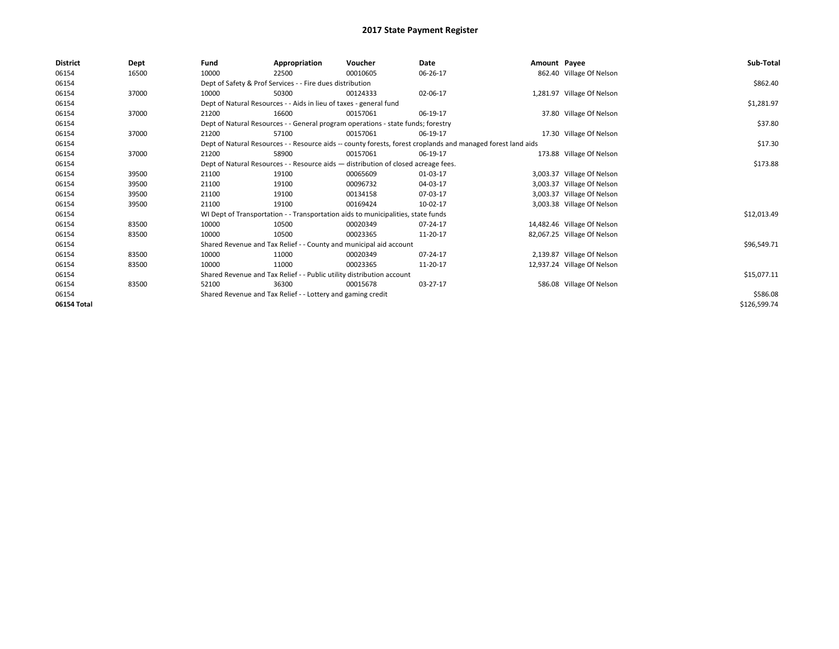| District    | Dept  | Fund                                                                  | Appropriation                                                                                                | Voucher                                                                            | Date     | Amount Payee |                             | Sub-Total    |  |  |  |
|-------------|-------|-----------------------------------------------------------------------|--------------------------------------------------------------------------------------------------------------|------------------------------------------------------------------------------------|----------|--------------|-----------------------------|--------------|--|--|--|
| 06154       | 16500 | 10000                                                                 | 22500                                                                                                        | 00010605                                                                           | 06-26-17 |              | 862.40 Village Of Nelson    |              |  |  |  |
| 06154       |       |                                                                       | Dept of Safety & Prof Services - - Fire dues distribution                                                    |                                                                                    |          |              |                             | \$862.40     |  |  |  |
| 06154       | 37000 | 10000                                                                 | 50300                                                                                                        | 00124333                                                                           | 02-06-17 |              | 1,281.97 Village Of Nelson  |              |  |  |  |
| 06154       |       |                                                                       | Dept of Natural Resources - - Aids in lieu of taxes - general fund                                           |                                                                                    |          |              |                             | \$1,281.97   |  |  |  |
| 06154       | 37000 | 21200                                                                 | 16600                                                                                                        | 00157061                                                                           | 06-19-17 |              | 37.80 Village Of Nelson     |              |  |  |  |
| 06154       |       |                                                                       |                                                                                                              | Dept of Natural Resources - - General program operations - state funds; forestry   |          |              |                             | \$37.80      |  |  |  |
| 06154       | 37000 | 21200                                                                 | 57100                                                                                                        | 00157061                                                                           | 06-19-17 |              | 17.30 Village Of Nelson     |              |  |  |  |
| 06154       |       |                                                                       | Dept of Natural Resources - - Resource aids -- county forests, forest croplands and managed forest land aids |                                                                                    |          |              |                             |              |  |  |  |
| 06154       | 37000 | 21200                                                                 | 58900                                                                                                        | 00157061                                                                           | 06-19-17 |              | 173.88 Village Of Nelson    |              |  |  |  |
| 06154       |       |                                                                       |                                                                                                              | Dept of Natural Resources - - Resource aids - distribution of closed acreage fees. |          |              |                             | \$173.88     |  |  |  |
| 06154       | 39500 | 21100                                                                 | 19100                                                                                                        | 00065609                                                                           | 01-03-17 |              | 3,003.37 Village Of Nelson  |              |  |  |  |
| 06154       | 39500 | 21100                                                                 | 19100                                                                                                        | 00096732                                                                           | 04-03-17 |              | 3,003.37 Village Of Nelson  |              |  |  |  |
| 06154       | 39500 | 21100                                                                 | 19100                                                                                                        | 00134158                                                                           | 07-03-17 |              | 3,003.37 Village Of Nelson  |              |  |  |  |
| 06154       | 39500 | 21100                                                                 | 19100                                                                                                        | 00169424                                                                           | 10-02-17 |              | 3,003.38 Village Of Nelson  |              |  |  |  |
| 06154       |       |                                                                       |                                                                                                              | WI Dept of Transportation - - Transportation aids to municipalities, state funds   |          |              |                             | \$12,013.49  |  |  |  |
| 06154       | 83500 | 10000                                                                 | 10500                                                                                                        | 00020349                                                                           | 07-24-17 |              | 14,482.46 Village Of Nelson |              |  |  |  |
| 06154       | 83500 | 10000                                                                 | 10500                                                                                                        | 00023365                                                                           | 11-20-17 |              | 82,067.25 Village Of Nelson |              |  |  |  |
| 06154       |       |                                                                       |                                                                                                              | Shared Revenue and Tax Relief - - County and municipal aid account                 |          |              |                             | \$96,549.71  |  |  |  |
| 06154       | 83500 | 10000                                                                 | 11000                                                                                                        | 00020349                                                                           | 07-24-17 |              | 2,139.87 Village Of Nelson  |              |  |  |  |
| 06154       | 83500 | 10000                                                                 | 11000                                                                                                        | 00023365                                                                           | 11-20-17 |              | 12,937.24 Village Of Nelson |              |  |  |  |
| 06154       |       | Shared Revenue and Tax Relief - - Public utility distribution account |                                                                                                              | \$15,077.11                                                                        |          |              |                             |              |  |  |  |
| 06154       | 83500 | 52100                                                                 | 36300                                                                                                        | 00015678                                                                           | 03-27-17 |              | 586.08 Village Of Nelson    |              |  |  |  |
| 06154       |       |                                                                       | Shared Revenue and Tax Relief - - Lottery and gaming credit                                                  |                                                                                    |          |              |                             |              |  |  |  |
| 06154 Total |       |                                                                       |                                                                                                              |                                                                                    |          |              |                             | \$126,599.74 |  |  |  |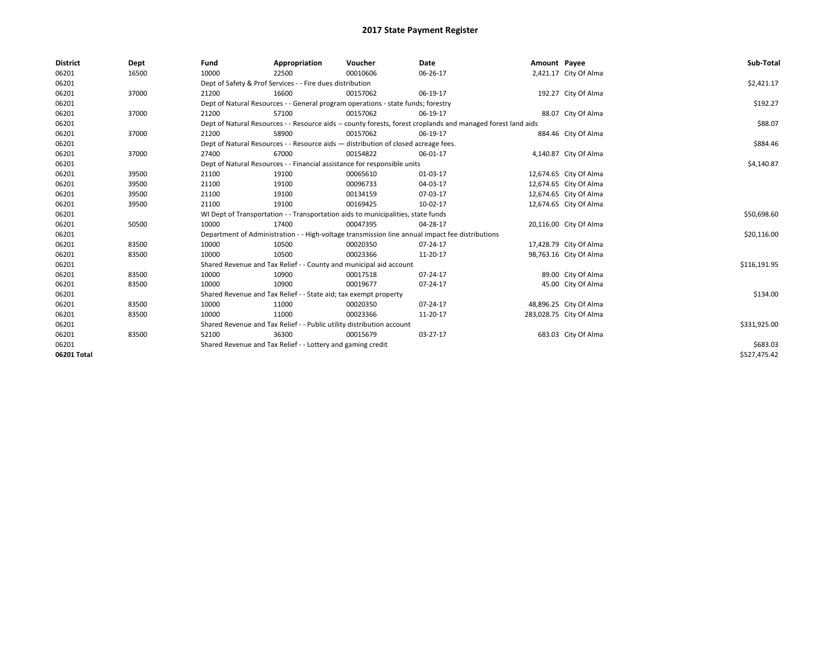| <b>District</b> | Dept  | Fund                                                                               | Appropriation                                                                    | Voucher      | Date                                                                                                         | Amount Payee |                         | Sub-Total    |
|-----------------|-------|------------------------------------------------------------------------------------|----------------------------------------------------------------------------------|--------------|--------------------------------------------------------------------------------------------------------------|--------------|-------------------------|--------------|
| 06201           | 16500 | 10000                                                                              | 22500                                                                            | 00010606     | 06-26-17                                                                                                     |              | 2,421.17 City Of Alma   |              |
| 06201           |       |                                                                                    | Dept of Safety & Prof Services - - Fire dues distribution                        |              |                                                                                                              |              |                         | \$2,421.17   |
| 06201           | 37000 | 21200                                                                              | 16600                                                                            | 00157062     | 06-19-17                                                                                                     |              | 192.27 City Of Alma     |              |
| 06201           |       |                                                                                    | Dept of Natural Resources - - General program operations - state funds; forestry |              |                                                                                                              |              |                         | \$192.27     |
| 06201           | 37000 | 21200                                                                              | 57100                                                                            | 00157062     | 06-19-17                                                                                                     |              | 88.07 City Of Alma      |              |
| 06201           |       |                                                                                    |                                                                                  |              | Dept of Natural Resources - - Resource aids -- county forests, forest croplands and managed forest land aids |              |                         | \$88.07      |
| 06201           | 37000 | 21200                                                                              | 58900                                                                            | 00157062     | 06-19-17                                                                                                     |              | 884.46 City Of Alma     |              |
| 06201           |       | Dept of Natural Resources - - Resource aids - distribution of closed acreage fees. |                                                                                  | \$884.46     |                                                                                                              |              |                         |              |
| 06201           | 37000 | 27400                                                                              | 67000                                                                            | 00154822     | 06-01-17                                                                                                     |              | 4,140.87 City Of Alma   |              |
| 06201           |       |                                                                                    | Dept of Natural Resources - - Financial assistance for responsible units         |              | \$4,140.87                                                                                                   |              |                         |              |
| 06201           | 39500 | 21100                                                                              | 19100                                                                            | 00065610     | 01-03-17                                                                                                     |              | 12,674.65 City Of Alma  |              |
| 06201           | 39500 | 21100                                                                              | 19100                                                                            | 00096733     | 04-03-17                                                                                                     |              | 12,674.65 City Of Alma  |              |
| 06201           | 39500 | 21100                                                                              | 19100                                                                            | 00134159     | 07-03-17                                                                                                     |              | 12,674.65 City Of Alma  |              |
| 06201           | 39500 | 21100                                                                              | 19100                                                                            | 00169425     | 10-02-17                                                                                                     |              | 12,674.65 City Of Alma  |              |
| 06201           |       |                                                                                    | WI Dept of Transportation - - Transportation aids to municipalities, state funds |              |                                                                                                              |              |                         | \$50,698.60  |
| 06201           | 50500 | 10000                                                                              | 17400                                                                            | 00047395     | 04-28-17                                                                                                     |              | 20,116.00 City Of Alma  |              |
| 06201           |       |                                                                                    |                                                                                  |              | Department of Administration - - High-voltage transmission line annual impact fee distributions              |              |                         | \$20,116.00  |
| 06201           | 83500 | 10000                                                                              | 10500                                                                            | 00020350     | 07-24-17                                                                                                     |              | 17,428.79 City Of Alma  |              |
| 06201           | 83500 | 10000                                                                              | 10500                                                                            | 00023366     | 11-20-17                                                                                                     |              | 98,763.16 City Of Alma  |              |
| 06201           |       |                                                                                    | Shared Revenue and Tax Relief - - County and municipal aid account               |              |                                                                                                              |              |                         | \$116,191.95 |
| 06201           | 83500 | 10000                                                                              | 10900                                                                            | 00017518     | 07-24-17                                                                                                     |              | 89.00 City Of Alma      |              |
| 06201           | 83500 | 10000                                                                              | 10900                                                                            | 00019677     | 07-24-17                                                                                                     |              | 45.00 City Of Alma      |              |
| 06201           |       |                                                                                    | Shared Revenue and Tax Relief - - State aid; tax exempt property                 |              |                                                                                                              |              |                         | \$134.00     |
| 06201           | 83500 | 10000                                                                              | 11000                                                                            | 00020350     | 07-24-17                                                                                                     |              | 48,896.25 City Of Alma  |              |
| 06201           | 83500 | 10000                                                                              | 11000                                                                            | 00023366     | 11-20-17                                                                                                     |              | 283,028.75 City Of Alma |              |
| 06201           |       | Shared Revenue and Tax Relief - - Public utility distribution account              |                                                                                  | \$331,925.00 |                                                                                                              |              |                         |              |
| 06201           | 83500 | 52100                                                                              | 36300                                                                            | 00015679     | 03-27-17                                                                                                     |              | 683.03 City Of Alma     |              |
| 06201           |       | Shared Revenue and Tax Relief - - Lottery and gaming credit                        |                                                                                  | \$683.03     |                                                                                                              |              |                         |              |
| 06201 Total     |       |                                                                                    |                                                                                  |              |                                                                                                              |              |                         | \$527,475.42 |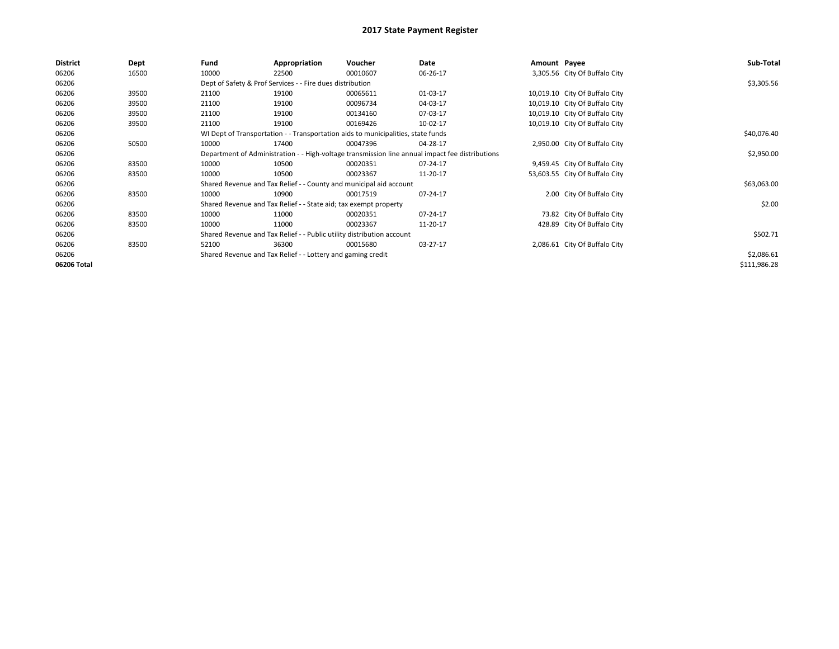| <b>District</b> | Dept  | Fund                                                        | Appropriation                                                                                   | Voucher    | Date     | Amount Payee |                                | Sub-Total    |  |  |  |
|-----------------|-------|-------------------------------------------------------------|-------------------------------------------------------------------------------------------------|------------|----------|--------------|--------------------------------|--------------|--|--|--|
| 06206           | 16500 | 10000                                                       | 22500                                                                                           | 00010607   | 06-26-17 |              | 3,305.56 City Of Buffalo City  |              |  |  |  |
| 06206           |       |                                                             | Dept of Safety & Prof Services - - Fire dues distribution                                       |            |          |              |                                |              |  |  |  |
| 06206           | 39500 | 21100                                                       | 19100                                                                                           | 00065611   | 01-03-17 |              | 10,019.10 City Of Buffalo City |              |  |  |  |
| 06206           | 39500 | 21100                                                       | 19100                                                                                           | 00096734   | 04-03-17 |              | 10,019.10 City Of Buffalo City |              |  |  |  |
| 06206           | 39500 | 21100                                                       | 19100                                                                                           | 00134160   | 07-03-17 |              | 10,019.10 City Of Buffalo City |              |  |  |  |
| 06206           | 39500 | 21100                                                       | 19100                                                                                           | 00169426   | 10-02-17 |              | 10,019.10 City Of Buffalo City |              |  |  |  |
| 06206           |       |                                                             | WI Dept of Transportation - - Transportation aids to municipalities, state funds                |            |          |              |                                |              |  |  |  |
| 06206           | 50500 | 10000                                                       | 17400                                                                                           | 00047396   | 04-28-17 |              | 2,950.00 City Of Buffalo City  |              |  |  |  |
| 06206           |       |                                                             | Department of Administration - - High-voltage transmission line annual impact fee distributions |            |          |              |                                |              |  |  |  |
| 06206           | 83500 | 10000                                                       | 10500                                                                                           | 00020351   | 07-24-17 |              | 9,459.45 City Of Buffalo City  |              |  |  |  |
| 06206           | 83500 | 10000                                                       | 10500                                                                                           | 00023367   | 11-20-17 |              | 53,603.55 City Of Buffalo City |              |  |  |  |
| 06206           |       |                                                             | Shared Revenue and Tax Relief - - County and municipal aid account                              |            |          |              |                                |              |  |  |  |
| 06206           | 83500 | 10000                                                       | 10900                                                                                           | 00017519   | 07-24-17 |              | 2.00 City Of Buffalo City      |              |  |  |  |
| 06206           |       |                                                             | Shared Revenue and Tax Relief - - State aid; tax exempt property                                |            |          |              |                                |              |  |  |  |
| 06206           | 83500 | 10000                                                       | 11000                                                                                           | 00020351   | 07-24-17 |              | 73.82 City Of Buffalo City     |              |  |  |  |
| 06206           | 83500 | 10000                                                       | 11000                                                                                           | 00023367   | 11-20-17 |              | 428.89 City Of Buffalo City    |              |  |  |  |
| 06206           |       |                                                             | Shared Revenue and Tax Relief - - Public utility distribution account                           |            |          |              |                                |              |  |  |  |
| 06206           | 83500 | 52100                                                       | 36300                                                                                           | 00015680   | 03-27-17 |              | 2,086.61 City Of Buffalo City  |              |  |  |  |
| 06206           |       | Shared Revenue and Tax Relief - - Lottery and gaming credit |                                                                                                 | \$2,086.61 |          |              |                                |              |  |  |  |
| 06206 Total     |       |                                                             |                                                                                                 |            |          |              |                                | \$111,986.28 |  |  |  |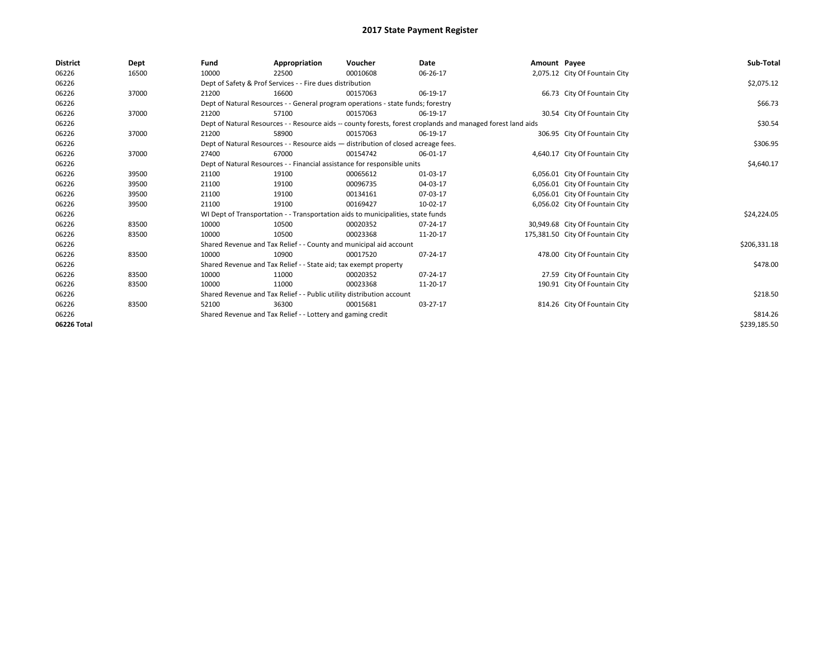| <b>District</b> | Dept  | Fund                                                                                                         | Appropriation                                                                      | Voucher      | Date     | Amount Payee |                                  | Sub-Total    |
|-----------------|-------|--------------------------------------------------------------------------------------------------------------|------------------------------------------------------------------------------------|--------------|----------|--------------|----------------------------------|--------------|
| 06226           | 16500 | 10000                                                                                                        | 22500                                                                              | 00010608     | 06-26-17 |              | 2,075.12 City Of Fountain City   |              |
| 06226           |       | Dept of Safety & Prof Services - - Fire dues distribution                                                    |                                                                                    | \$2,075.12   |          |              |                                  |              |
| 06226           | 37000 | 21200                                                                                                        | 16600                                                                              | 00157063     | 06-19-17 |              | 66.73 City Of Fountain City      |              |
| 06226           |       | Dept of Natural Resources - - General program operations - state funds; forestry                             |                                                                                    | \$66.73      |          |              |                                  |              |
| 06226           | 37000 | 21200                                                                                                        | 57100                                                                              | 00157063     | 06-19-17 |              | 30.54 City Of Fountain City      |              |
| 06226           |       | Dept of Natural Resources - - Resource aids -- county forests, forest croplands and managed forest land aids |                                                                                    | \$30.54      |          |              |                                  |              |
| 06226           | 37000 | 21200                                                                                                        | 58900                                                                              | 00157063     | 06-19-17 |              | 306.95 City Of Fountain City     |              |
| 06226           |       |                                                                                                              | Dept of Natural Resources - - Resource aids - distribution of closed acreage fees. |              |          |              |                                  | \$306.95     |
| 06226           | 37000 | 27400                                                                                                        | 67000                                                                              | 00154742     | 06-01-17 |              | 4,640.17 City Of Fountain City   |              |
| 06226           |       |                                                                                                              | Dept of Natural Resources - - Financial assistance for responsible units           |              |          |              |                                  | \$4,640.17   |
| 06226           | 39500 | 21100                                                                                                        | 19100                                                                              | 00065612     | 01-03-17 |              | 6,056.01 City Of Fountain City   |              |
| 06226           | 39500 | 21100                                                                                                        | 19100                                                                              | 00096735     | 04-03-17 |              | 6,056.01 City Of Fountain City   |              |
| 06226           | 39500 | 21100                                                                                                        | 19100                                                                              | 00134161     | 07-03-17 |              | 6,056.01 City Of Fountain City   |              |
| 06226           | 39500 | 21100                                                                                                        | 19100                                                                              | 00169427     | 10-02-17 |              | 6,056.02 City Of Fountain City   |              |
| 06226           |       |                                                                                                              | WI Dept of Transportation - - Transportation aids to municipalities, state funds   |              |          |              |                                  | \$24,224.05  |
| 06226           | 83500 | 10000                                                                                                        | 10500                                                                              | 00020352     | 07-24-17 |              | 30,949.68 City Of Fountain City  |              |
| 06226           | 83500 | 10000                                                                                                        | 10500                                                                              | 00023368     | 11-20-17 |              | 175,381.50 City Of Fountain City |              |
| 06226           |       | Shared Revenue and Tax Relief - - County and municipal aid account                                           |                                                                                    | \$206,331.18 |          |              |                                  |              |
| 06226           | 83500 | 10000                                                                                                        | 10900                                                                              | 00017520     | 07-24-17 |              | 478.00 City Of Fountain City     |              |
| 06226           |       | Shared Revenue and Tax Relief - - State aid; tax exempt property                                             |                                                                                    | \$478.00     |          |              |                                  |              |
| 06226           | 83500 | 10000                                                                                                        | 11000                                                                              | 00020352     | 07-24-17 |              | 27.59 City Of Fountain City      |              |
| 06226           | 83500 | 10000                                                                                                        | 11000                                                                              | 00023368     | 11-20-17 |              | 190.91 City Of Fountain City     |              |
| 06226           |       | Shared Revenue and Tax Relief - - Public utility distribution account                                        |                                                                                    | \$218.50     |          |              |                                  |              |
| 06226           | 83500 | 52100                                                                                                        | 36300                                                                              | 00015681     | 03-27-17 |              | 814.26 City Of Fountain City     |              |
| 06226           |       | Shared Revenue and Tax Relief - - Lottery and gaming credit                                                  |                                                                                    | \$814.26     |          |              |                                  |              |
| 06226 Total     |       |                                                                                                              |                                                                                    |              |          |              |                                  | \$239,185.50 |